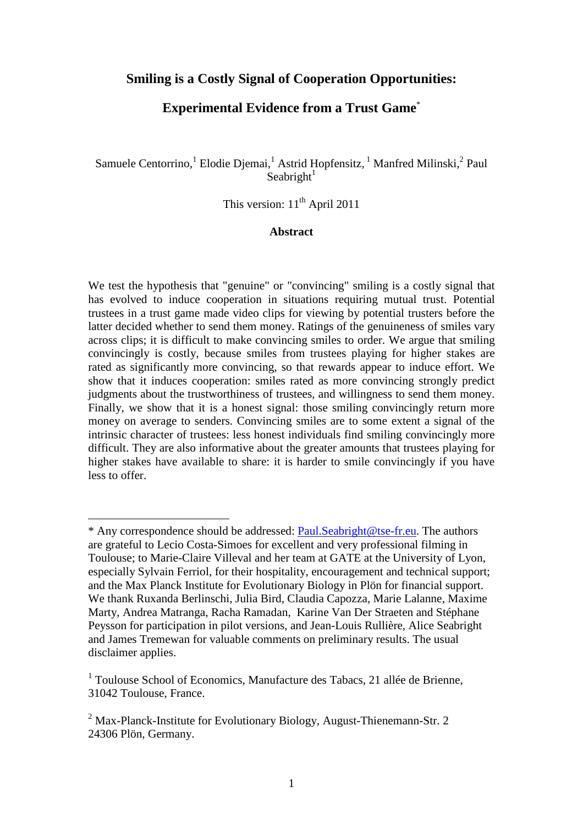# **Smiling is a Costly Signal of Cooperation Opportunities:**

# **Experimental Evidence from a Trust Game**\*

Samuele Centorrino,<sup>1</sup> Elodie Djemai,<sup>1</sup> Astrid Hopfensitz,<sup>1</sup> Manfred Milinski,<sup>2</sup> Paul Seabright $1$ 

This version:  $11<sup>th</sup>$  April 2011

## **Abstract**

We test the hypothesis that "genuine" or "convincing" smiling is a costly signal that has evolved to induce cooperation in situations requiring mutual trust. Potential trustees in a trust game made video clips for viewing by potential trusters before the latter decided whether to send them money. Ratings of the genuineness of smiles vary across clips; it is difficult to make convincing smiles to order. We argue that smiling convincingly is costly, because smiles from trustees playing for higher stakes are rated as significantly more convincing, so that rewards appear to induce effort. We show that it induces cooperation: smiles rated as more convincing strongly predict judgments about the trustworthiness of trustees, and willingness to send them money. Finally, we show that it is a honest signal: those smiling convincingly return more money on average to senders. Convincing smiles are to some extent a signal of the intrinsic character of trustees: less honest individuals find smiling convincingly more difficult. They are also informative about the greater amounts that trustees playing for higher stakes have available to share: it is harder to smile convincingly if you have less to offer.

 $\overline{a}$ 

<sup>\*</sup> Any correspondence should be addressed: Paul.Seabright@tse-fr.eu. The authors are grateful to Lecio Costa-Simoes for excellent and very professional filming in Toulouse; to Marie-Claire Villeval and her team at GATE at the University of Lyon, especially Sylvain Ferriol, for their hospitality, encouragement and technical support; and the Max Planck Institute for Evolutionary Biology in Plön for financial support. We thank Ruxanda Berlinschi, Julia Bird, Claudia Capozza, Marie Lalanne, Maxime Marty, Andrea Matranga, Racha Ramadan, Karine Van Der Straeten and Stéphane Peysson for participation in pilot versions, and Jean-Louis Rullière, Alice Seabright and James Tremewan for valuable comments on preliminary results. The usual disclaimer applies.

<sup>&</sup>lt;sup>1</sup> Toulouse School of Economics, Manufacture des Tabacs, 21 allée de Brienne, 31042 Toulouse, France.

 $2$  Max-Planck-Institute for Evolutionary Biology, August-Thienemann-Str. 2 24306 Plön, Germany.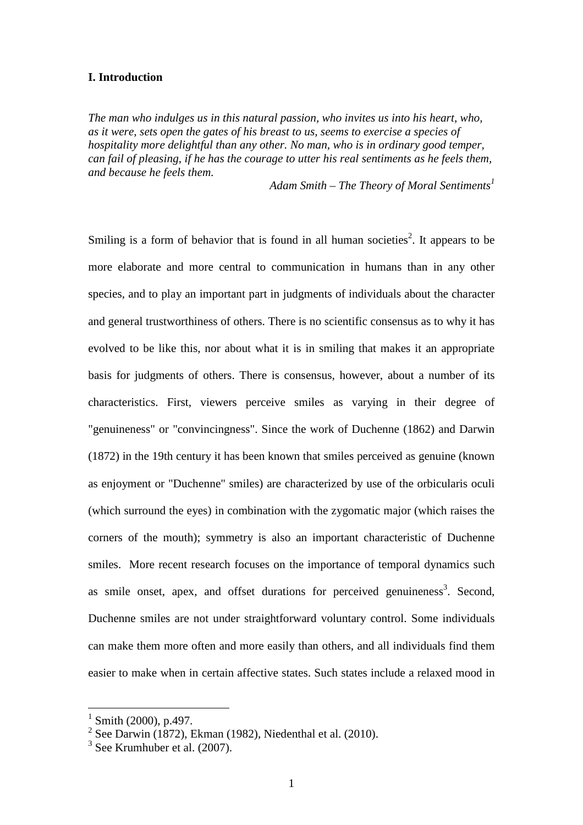#### **I. Introduction**

*The man who indulges us in this natural passion, who invites us into his heart, who, as it were, sets open the gates of his breast to us, seems to exercise a species of hospitality more delightful than any other. No man, who is in ordinary good temper, can fail of pleasing, if he has the courage to utter his real sentiments as he feels them, and because he feels them.* 

*Adam Smith – The Theory of Moral Sentiments<sup>1</sup>*

Smiling is a form of behavior that is found in all human societies<sup>2</sup>. It appears to be more elaborate and more central to communication in humans than in any other species, and to play an important part in judgments of individuals about the character and general trustworthiness of others. There is no scientific consensus as to why it has evolved to be like this, nor about what it is in smiling that makes it an appropriate basis for judgments of others. There is consensus, however, about a number of its characteristics. First, viewers perceive smiles as varying in their degree of "genuineness" or "convincingness". Since the work of Duchenne (1862) and Darwin (1872) in the 19th century it has been known that smiles perceived as genuine (known as enjoyment or "Duchenne" smiles) are characterized by use of the orbicularis oculi (which surround the eyes) in combination with the zygomatic major (which raises the corners of the mouth); symmetry is also an important characteristic of Duchenne smiles. More recent research focuses on the importance of temporal dynamics such as smile onset, apex, and offset durations for perceived genuineness<sup>3</sup>. Second, Duchenne smiles are not under straightforward voluntary control. Some individuals can make them more often and more easily than others, and all individuals find them easier to make when in certain affective states. Such states include a relaxed mood in

 $\overline{a}$ 

 $1$  Smith (2000), p.497.

 $2$  See Darwin (1872), Ekman (1982), Niedenthal et al. (2010).

 $3$  See Krumhuber et al. (2007).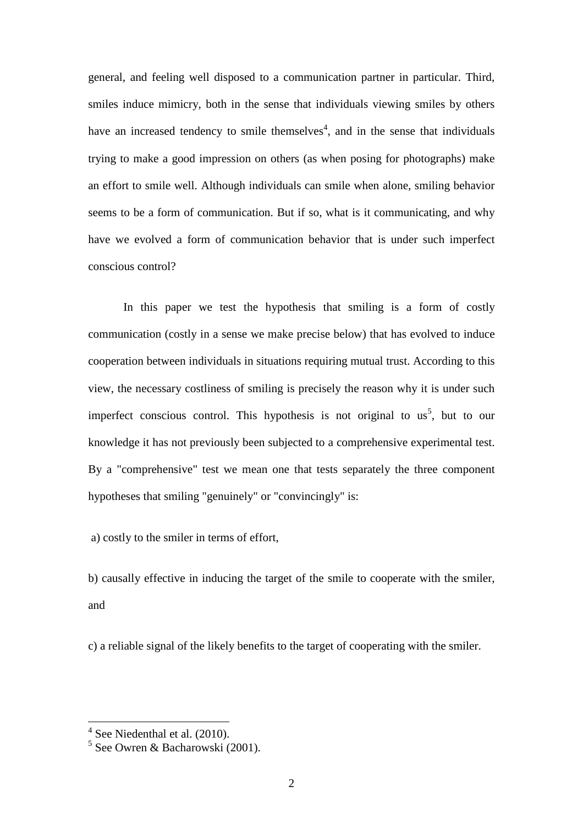general, and feeling well disposed to a communication partner in particular. Third, smiles induce mimicry, both in the sense that individuals viewing smiles by others have an increased tendency to smile themselves<sup>4</sup>, and in the sense that individuals trying to make a good impression on others (as when posing for photographs) make an effort to smile well. Although individuals can smile when alone, smiling behavior seems to be a form of communication. But if so, what is it communicating, and why have we evolved a form of communication behavior that is under such imperfect conscious control?

 In this paper we test the hypothesis that smiling is a form of costly communication (costly in a sense we make precise below) that has evolved to induce cooperation between individuals in situations requiring mutual trust. According to this view, the necessary costliness of smiling is precisely the reason why it is under such imperfect conscious control. This hypothesis is not original to  $us<sup>5</sup>$ , but to our knowledge it has not previously been subjected to a comprehensive experimental test. By a "comprehensive" test we mean one that tests separately the three component hypotheses that smiling "genuinely" or "convincingly" is:

a) costly to the smiler in terms of effort,

b) causally effective in inducing the target of the smile to cooperate with the smiler, and

c) a reliable signal of the likely benefits to the target of cooperating with the smiler.

 4 See Niedenthal et al. (2010).

<sup>&</sup>lt;sup>5</sup> See Owren & Bacharowski (2001).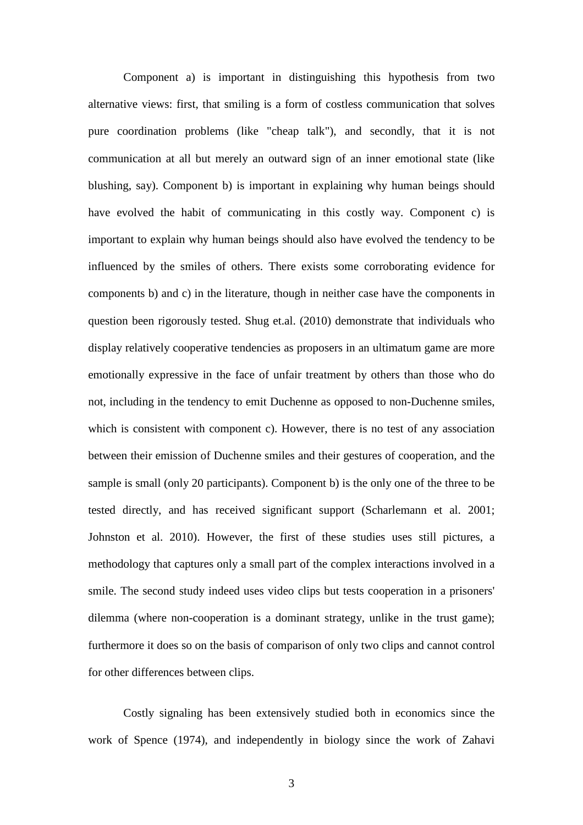Component a) is important in distinguishing this hypothesis from two alternative views: first, that smiling is a form of costless communication that solves pure coordination problems (like "cheap talk"), and secondly, that it is not communication at all but merely an outward sign of an inner emotional state (like blushing, say). Component b) is important in explaining why human beings should have evolved the habit of communicating in this costly way. Component c) is important to explain why human beings should also have evolved the tendency to be influenced by the smiles of others. There exists some corroborating evidence for components b) and c) in the literature, though in neither case have the components in question been rigorously tested. Shug et.al. (2010) demonstrate that individuals who display relatively cooperative tendencies as proposers in an ultimatum game are more emotionally expressive in the face of unfair treatment by others than those who do not, including in the tendency to emit Duchenne as opposed to non-Duchenne smiles, which is consistent with component c). However, there is no test of any association between their emission of Duchenne smiles and their gestures of cooperation, and the sample is small (only 20 participants). Component b) is the only one of the three to be tested directly, and has received significant support (Scharlemann et al. 2001; Johnston et al. 2010). However, the first of these studies uses still pictures, a methodology that captures only a small part of the complex interactions involved in a smile. The second study indeed uses video clips but tests cooperation in a prisoners' dilemma (where non-cooperation is a dominant strategy, unlike in the trust game); furthermore it does so on the basis of comparison of only two clips and cannot control for other differences between clips.

 Costly signaling has been extensively studied both in economics since the work of Spence (1974), and independently in biology since the work of Zahavi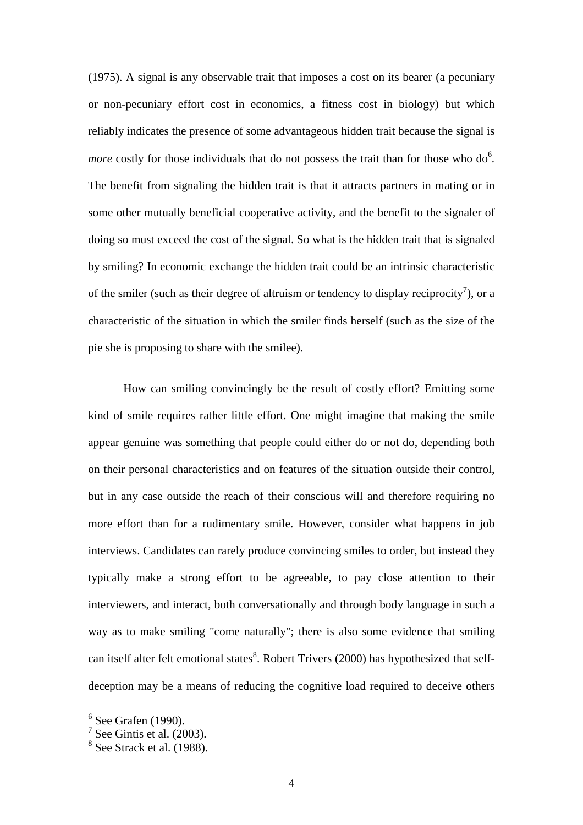(1975). A signal is any observable trait that imposes a cost on its bearer (a pecuniary or non-pecuniary effort cost in economics, a fitness cost in biology) but which reliably indicates the presence of some advantageous hidden trait because the signal is *more* costly for those individuals that do not possess the trait than for those who do<sup>6</sup>. The benefit from signaling the hidden trait is that it attracts partners in mating or in some other mutually beneficial cooperative activity, and the benefit to the signaler of doing so must exceed the cost of the signal. So what is the hidden trait that is signaled by smiling? In economic exchange the hidden trait could be an intrinsic characteristic of the smiler (such as their degree of altruism or tendency to display reciprocity<sup>7</sup>), or a characteristic of the situation in which the smiler finds herself (such as the size of the pie she is proposing to share with the smilee).

 How can smiling convincingly be the result of costly effort? Emitting some kind of smile requires rather little effort. One might imagine that making the smile appear genuine was something that people could either do or not do, depending both on their personal characteristics and on features of the situation outside their control, but in any case outside the reach of their conscious will and therefore requiring no more effort than for a rudimentary smile. However, consider what happens in job interviews. Candidates can rarely produce convincing smiles to order, but instead they typically make a strong effort to be agreeable, to pay close attention to their interviewers, and interact, both conversationally and through body language in such a way as to make smiling "come naturally"; there is also some evidence that smiling can itself alter felt emotional states<sup>8</sup>. Robert Trivers (2000) has hypothesized that selfdeception may be a means of reducing the cognitive load required to deceive others

 $\overline{a}$ 

<sup>6</sup> See Grafen (1990).

 $7$  See Gintis et al. (2003).

 $<sup>8</sup>$  See Strack et al. (1988).</sup>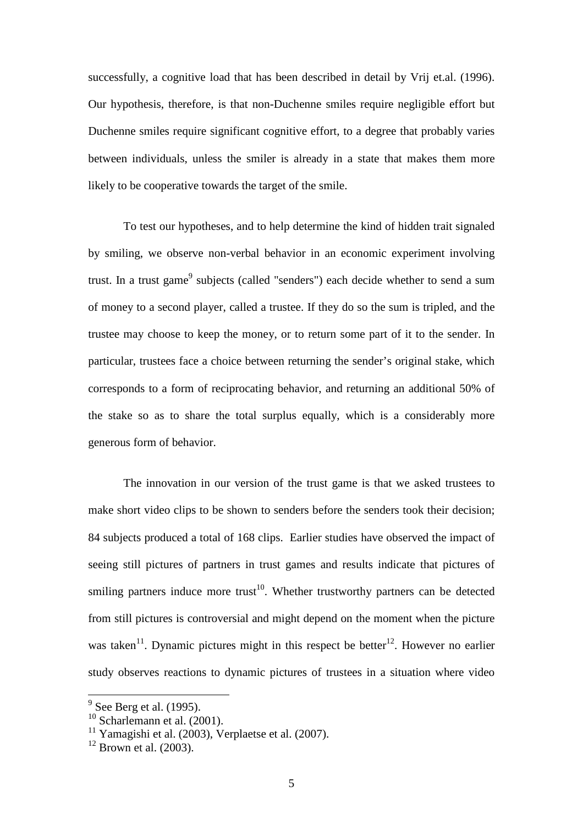successfully, a cognitive load that has been described in detail by Vrij et.al. (1996). Our hypothesis, therefore, is that non-Duchenne smiles require negligible effort but Duchenne smiles require significant cognitive effort, to a degree that probably varies between individuals, unless the smiler is already in a state that makes them more likely to be cooperative towards the target of the smile.

 To test our hypotheses, and to help determine the kind of hidden trait signaled by smiling, we observe non-verbal behavior in an economic experiment involving trust. In a trust game<sup>9</sup> subjects (called "senders") each decide whether to send a sum of money to a second player, called a trustee. If they do so the sum is tripled, and the trustee may choose to keep the money, or to return some part of it to the sender. In particular, trustees face a choice between returning the sender's original stake, which corresponds to a form of reciprocating behavior, and returning an additional 50% of the stake so as to share the total surplus equally, which is a considerably more generous form of behavior.

The innovation in our version of the trust game is that we asked trustees to make short video clips to be shown to senders before the senders took their decision; 84 subjects produced a total of 168 clips. Earlier studies have observed the impact of seeing still pictures of partners in trust games and results indicate that pictures of smiling partners induce more trust<sup>10</sup>. Whether trustworthy partners can be detected from still pictures is controversial and might depend on the moment when the picture was taken<sup>11</sup>. Dynamic pictures might in this respect be better<sup>12</sup>. However no earlier study observes reactions to dynamic pictures of trustees in a situation where video

<sup>&</sup>lt;sup>9</sup> See Berg et al. (1995).

 $^{10}$  Scharlemann et al. (2001).

<sup>&</sup>lt;sup>11</sup> Yamagishi et al. (2003), Verplaetse et al. (2007).

 $12$  Brown et al. (2003).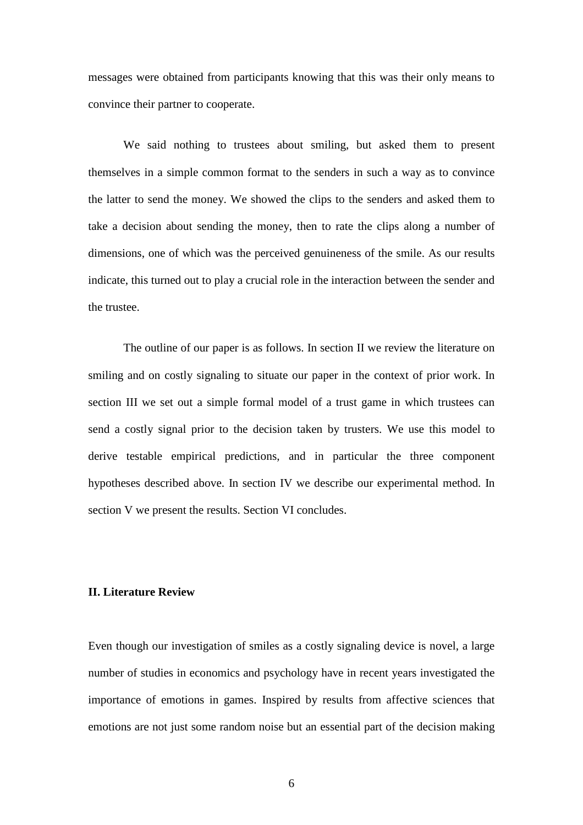messages were obtained from participants knowing that this was their only means to convince their partner to cooperate.

 We said nothing to trustees about smiling, but asked them to present themselves in a simple common format to the senders in such a way as to convince the latter to send the money. We showed the clips to the senders and asked them to take a decision about sending the money, then to rate the clips along a number of dimensions, one of which was the perceived genuineness of the smile. As our results indicate, this turned out to play a crucial role in the interaction between the sender and the trustee.

 The outline of our paper is as follows. In section II we review the literature on smiling and on costly signaling to situate our paper in the context of prior work. In section III we set out a simple formal model of a trust game in which trustees can send a costly signal prior to the decision taken by trusters. We use this model to derive testable empirical predictions, and in particular the three component hypotheses described above. In section IV we describe our experimental method. In section V we present the results. Section VI concludes.

#### **II. Literature Review**

Even though our investigation of smiles as a costly signaling device is novel, a large number of studies in economics and psychology have in recent years investigated the importance of emotions in games. Inspired by results from affective sciences that emotions are not just some random noise but an essential part of the decision making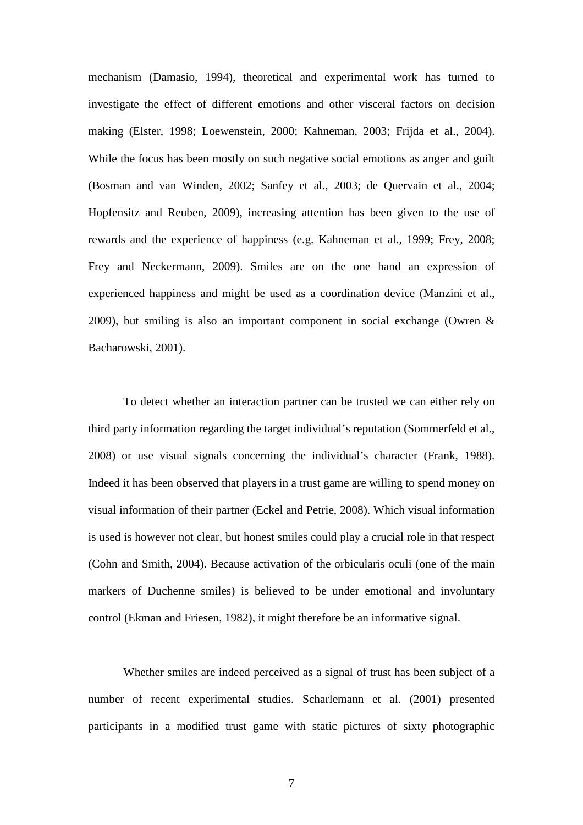mechanism (Damasio, 1994), theoretical and experimental work has turned to investigate the effect of different emotions and other visceral factors on decision making (Elster, 1998; Loewenstein, 2000; Kahneman, 2003; Frijda et al., 2004). While the focus has been mostly on such negative social emotions as anger and guilt (Bosman and van Winden, 2002; Sanfey et al., 2003; de Quervain et al., 2004; Hopfensitz and Reuben, 2009), increasing attention has been given to the use of rewards and the experience of happiness (e.g. Kahneman et al., 1999; Frey, 2008; Frey and Neckermann, 2009). Smiles are on the one hand an expression of experienced happiness and might be used as a coordination device (Manzini et al., 2009), but smiling is also an important component in social exchange (Owren & Bacharowski, 2001).

To detect whether an interaction partner can be trusted we can either rely on third party information regarding the target individual's reputation (Sommerfeld et al., 2008) or use visual signals concerning the individual's character (Frank, 1988). Indeed it has been observed that players in a trust game are willing to spend money on visual information of their partner (Eckel and Petrie, 2008). Which visual information is used is however not clear, but honest smiles could play a crucial role in that respect (Cohn and Smith, 2004). Because activation of the orbicularis oculi (one of the main markers of Duchenne smiles) is believed to be under emotional and involuntary control (Ekman and Friesen, 1982), it might therefore be an informative signal.

Whether smiles are indeed perceived as a signal of trust has been subject of a number of recent experimental studies. Scharlemann et al. (2001) presented participants in a modified trust game with static pictures of sixty photographic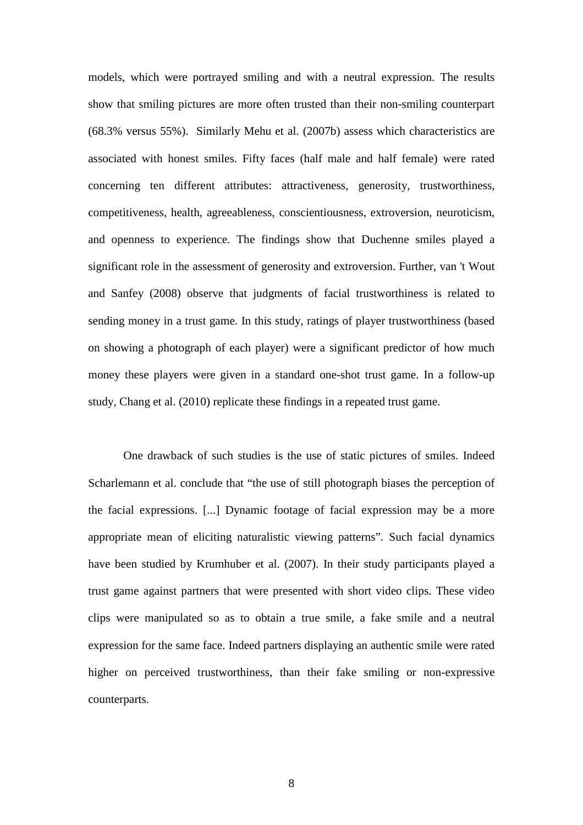models, which were portrayed smiling and with a neutral expression. The results show that smiling pictures are more often trusted than their non-smiling counterpart (68.3% versus 55%). Similarly Mehu et al. (2007b) assess which characteristics are associated with honest smiles. Fifty faces (half male and half female) were rated concerning ten different attributes: attractiveness, generosity, trustworthiness, competitiveness, health, agreeableness, conscientiousness, extroversion, neuroticism, and openness to experience. The findings show that Duchenne smiles played a significant role in the assessment of generosity and extroversion. Further, van 't Wout and Sanfey (2008) observe that judgments of facial trustworthiness is related to sending money in a trust game. In this study, ratings of player trustworthiness (based on showing a photograph of each player) were a significant predictor of how much money these players were given in a standard one-shot trust game. In a follow-up study, Chang et al. (2010) replicate these findings in a repeated trust game.

One drawback of such studies is the use of static pictures of smiles. Indeed Scharlemann et al. conclude that "the use of still photograph biases the perception of the facial expressions. [...] Dynamic footage of facial expression may be a more appropriate mean of eliciting naturalistic viewing patterns". Such facial dynamics have been studied by Krumhuber et al. (2007). In their study participants played a trust game against partners that were presented with short video clips. These video clips were manipulated so as to obtain a true smile, a fake smile and a neutral expression for the same face. Indeed partners displaying an authentic smile were rated higher on perceived trustworthiness, than their fake smiling or non-expressive counterparts.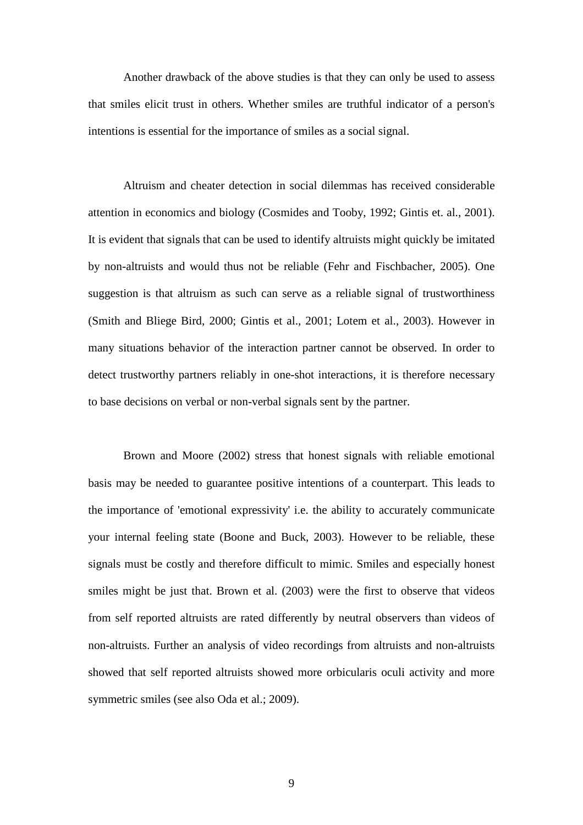Another drawback of the above studies is that they can only be used to assess that smiles elicit trust in others. Whether smiles are truthful indicator of a person's intentions is essential for the importance of smiles as a social signal.

Altruism and cheater detection in social dilemmas has received considerable attention in economics and biology (Cosmides and Tooby, 1992; Gintis et. al., 2001). It is evident that signals that can be used to identify altruists might quickly be imitated by non-altruists and would thus not be reliable (Fehr and Fischbacher, 2005). One suggestion is that altruism as such can serve as a reliable signal of trustworthiness (Smith and Bliege Bird, 2000; Gintis et al., 2001; Lotem et al., 2003). However in many situations behavior of the interaction partner cannot be observed. In order to detect trustworthy partners reliably in one-shot interactions, it is therefore necessary to base decisions on verbal or non-verbal signals sent by the partner.

Brown and Moore (2002) stress that honest signals with reliable emotional basis may be needed to guarantee positive intentions of a counterpart. This leads to the importance of 'emotional expressivity' i.e. the ability to accurately communicate your internal feeling state (Boone and Buck, 2003). However to be reliable, these signals must be costly and therefore difficult to mimic. Smiles and especially honest smiles might be just that. Brown et al. (2003) were the first to observe that videos from self reported altruists are rated differently by neutral observers than videos of non-altruists. Further an analysis of video recordings from altruists and non-altruists showed that self reported altruists showed more orbicularis oculi activity and more symmetric smiles (see also Oda et al.; 2009).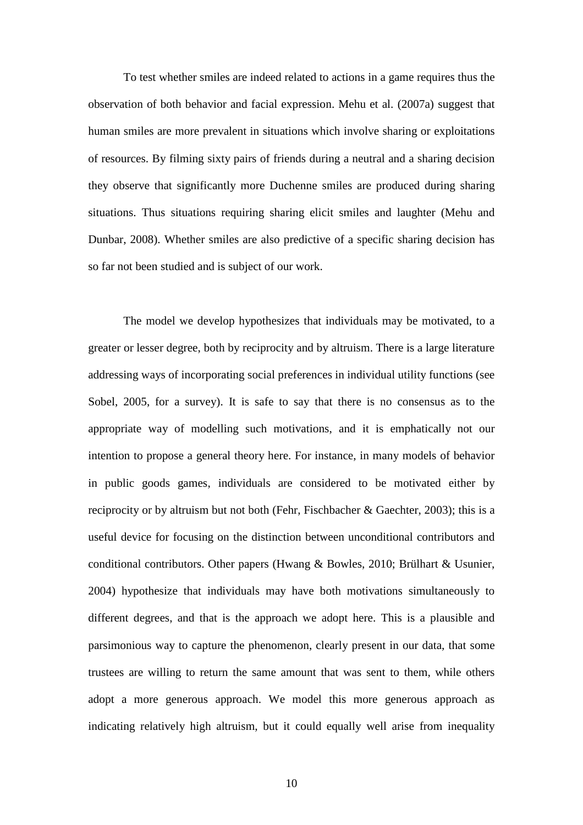To test whether smiles are indeed related to actions in a game requires thus the observation of both behavior and facial expression. Mehu et al. (2007a) suggest that human smiles are more prevalent in situations which involve sharing or exploitations of resources. By filming sixty pairs of friends during a neutral and a sharing decision they observe that significantly more Duchenne smiles are produced during sharing situations. Thus situations requiring sharing elicit smiles and laughter (Mehu and Dunbar, 2008). Whether smiles are also predictive of a specific sharing decision has so far not been studied and is subject of our work.

The model we develop hypothesizes that individuals may be motivated, to a greater or lesser degree, both by reciprocity and by altruism. There is a large literature addressing ways of incorporating social preferences in individual utility functions (see Sobel, 2005, for a survey). It is safe to say that there is no consensus as to the appropriate way of modelling such motivations, and it is emphatically not our intention to propose a general theory here. For instance, in many models of behavior in public goods games, individuals are considered to be motivated either by reciprocity or by altruism but not both (Fehr, Fischbacher & Gaechter, 2003); this is a useful device for focusing on the distinction between unconditional contributors and conditional contributors. Other papers (Hwang & Bowles, 2010; Brülhart & Usunier, 2004) hypothesize that individuals may have both motivations simultaneously to different degrees, and that is the approach we adopt here. This is a plausible and parsimonious way to capture the phenomenon, clearly present in our data, that some trustees are willing to return the same amount that was sent to them, while others adopt a more generous approach. We model this more generous approach as indicating relatively high altruism, but it could equally well arise from inequality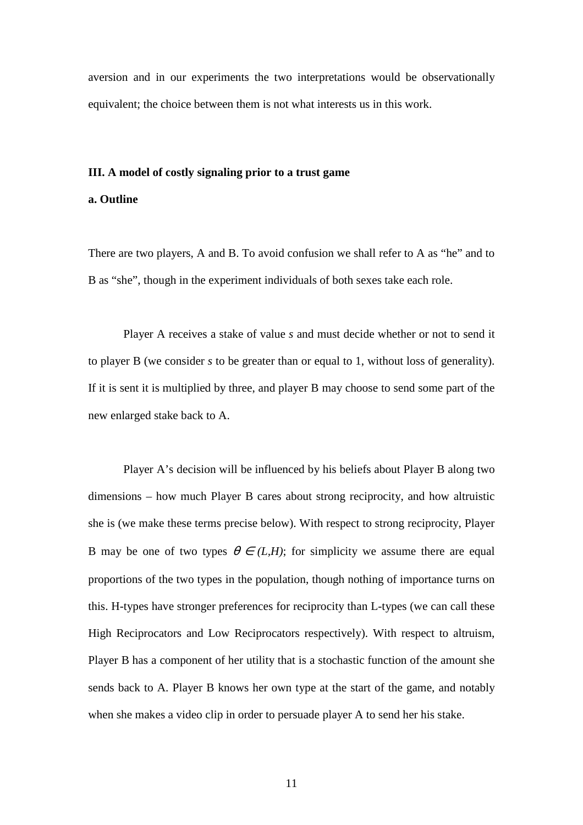aversion and in our experiments the two interpretations would be observationally equivalent; the choice between them is not what interests us in this work.

#### **III. A model of costly signaling prior to a trust game**

## **a. Outline**

There are two players, A and B. To avoid confusion we shall refer to A as "he" and to B as "she", though in the experiment individuals of both sexes take each role.

Player A receives a stake of value *s* and must decide whether or not to send it to player B (we consider *s* to be greater than or equal to 1, without loss of generality). If it is sent it is multiplied by three, and player B may choose to send some part of the new enlarged stake back to A.

Player A's decision will be influenced by his beliefs about Player B along two dimensions – how much Player B cares about strong reciprocity, and how altruistic she is (we make these terms precise below). With respect to strong reciprocity, Player B may be one of two types  $\theta \in (L,H)$ ; for simplicity we assume there are equal proportions of the two types in the population, though nothing of importance turns on this. H-types have stronger preferences for reciprocity than L-types (we can call these High Reciprocators and Low Reciprocators respectively). With respect to altruism, Player B has a component of her utility that is a stochastic function of the amount she sends back to A. Player B knows her own type at the start of the game, and notably when she makes a video clip in order to persuade player A to send her his stake.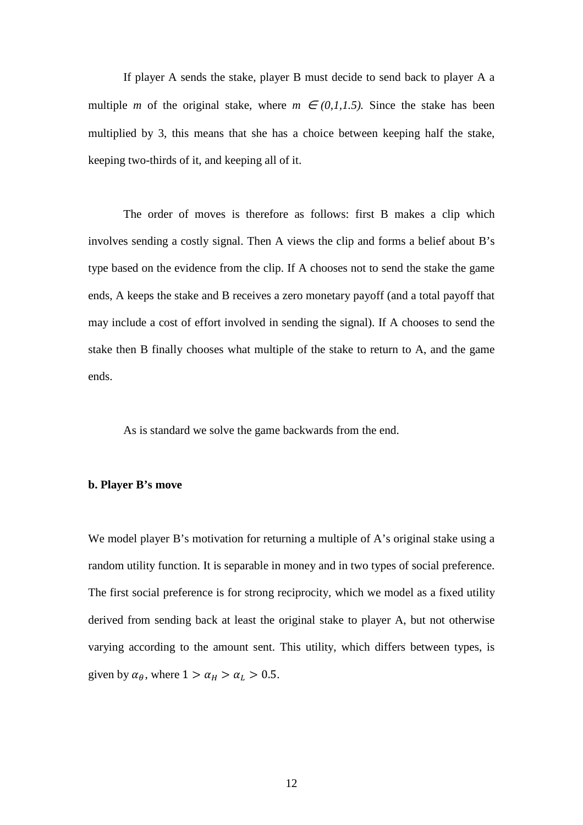If player A sends the stake, player B must decide to send back to player A a multiple *m* of the original stake, where  $m \in (0,1,1.5)$ . Since the stake has been multiplied by 3, this means that she has a choice between keeping half the stake, keeping two-thirds of it, and keeping all of it.

The order of moves is therefore as follows: first B makes a clip which involves sending a costly signal. Then A views the clip and forms a belief about B's type based on the evidence from the clip. If A chooses not to send the stake the game ends, A keeps the stake and B receives a zero monetary payoff (and a total payoff that may include a cost of effort involved in sending the signal). If A chooses to send the stake then B finally chooses what multiple of the stake to return to A, and the game ends.

As is standard we solve the game backwards from the end.

#### **b. Player B's move**

We model player B's motivation for returning a multiple of A's original stake using a random utility function. It is separable in money and in two types of social preference. The first social preference is for strong reciprocity, which we model as a fixed utility derived from sending back at least the original stake to player A, but not otherwise varying according to the amount sent. This utility, which differs between types, is given by  $\alpha_{\theta}$ , where  $1 > \alpha_H > \alpha_L > 0.5$ .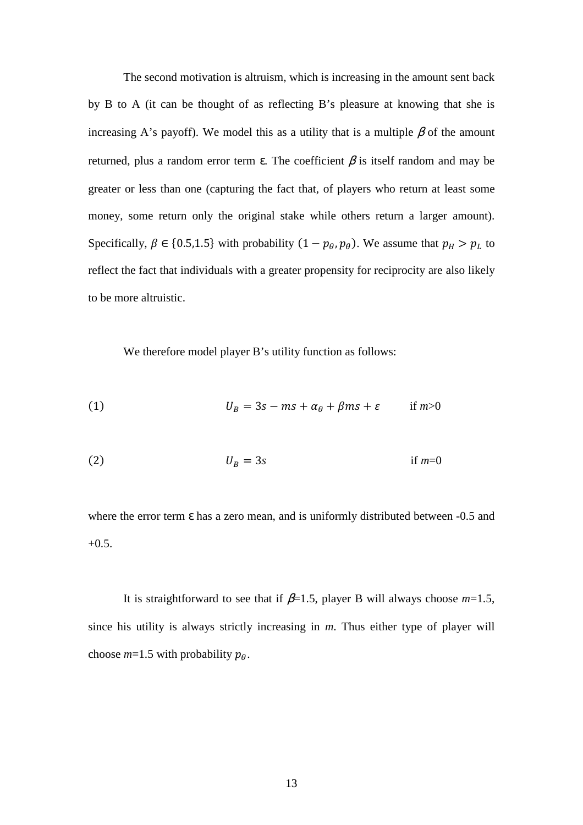The second motivation is altruism, which is increasing in the amount sent back by B to A (it can be thought of as reflecting B's pleasure at knowing that she is increasing A's payoff). We model this as a utility that is a multiple  $\beta$  of the amount returned, plus a random error term ε. The coefficient β is itself random and may be greater or less than one (capturing the fact that, of players who return at least some money, some return only the original stake while others return a larger amount). Specifically,  $\beta \in \{0.5, 1.5\}$  with probability  $(1 - p_{\theta}, p_{\theta})$ . We assume that  $p_H > p_L$  to reflect the fact that individuals with a greater propensity for reciprocity are also likely to be more altruistic.

We therefore model player B's utility function as follows:

(1) 
$$
U_B = 3s - ms + \alpha_\theta + \beta ms + \varepsilon \qquad \text{if } m > 0
$$

2 3 if *m*=0

where the error term  $\varepsilon$  has a zero mean, and is uniformly distributed between -0.5 and  $+0.5.$ 

It is straightforward to see that if  $\beta$ =1.5, player B will always choose  $m$ =1.5, since his utility is always strictly increasing in *m*. Thus either type of player will choose  $m=1.5$  with probability  $p_{\theta}$ .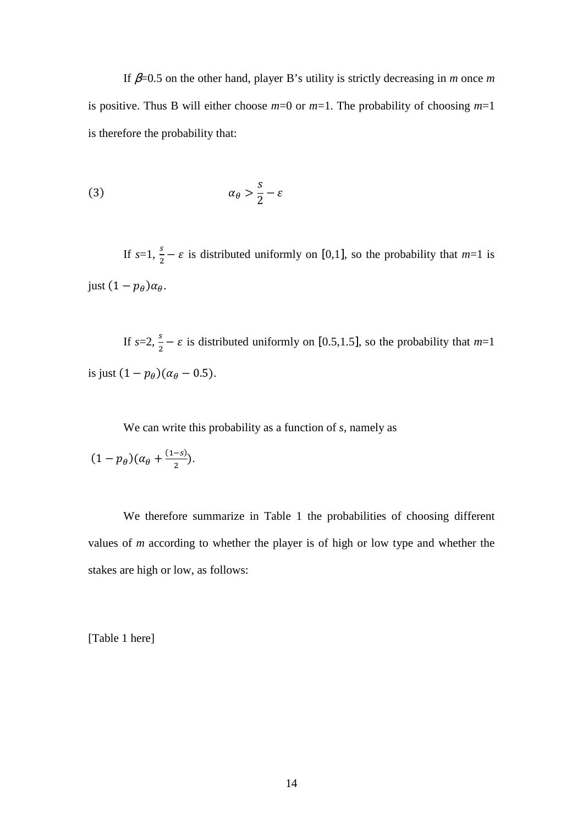If β=0.5 on the other hand, player B's utility is strictly decreasing in *m* once *m* is positive. Thus B will either choose *m*=0 or *m*=1. The probability of choosing *m*=1 is therefore the probability that:

$$
\alpha_{\theta} > \frac{s}{2} - \varepsilon
$$

If  $s=1$ ,  $\frac{s}{2} - \varepsilon$  is distributed uniformly on [0,1], so the probability that  $m=1$  is just  $(1-p_\theta)\alpha_\theta$ .

If  $s=2$ ,  $\frac{s}{2} - \varepsilon$  is distributed uniformly on [0.5,1.5], so the probability that  $m=1$ is just  $(1 - p_{\theta})(\alpha_{\theta} - 0.5)$ .

We can write this probability as a function of *s*, namely as

$$
(1-p_\theta)(\alpha_\theta+\tfrac{(1-s)}{2}).
$$

We therefore summarize in Table 1 the probabilities of choosing different values of *m* according to whether the player is of high or low type and whether the stakes are high or low, as follows:

[Table 1 here]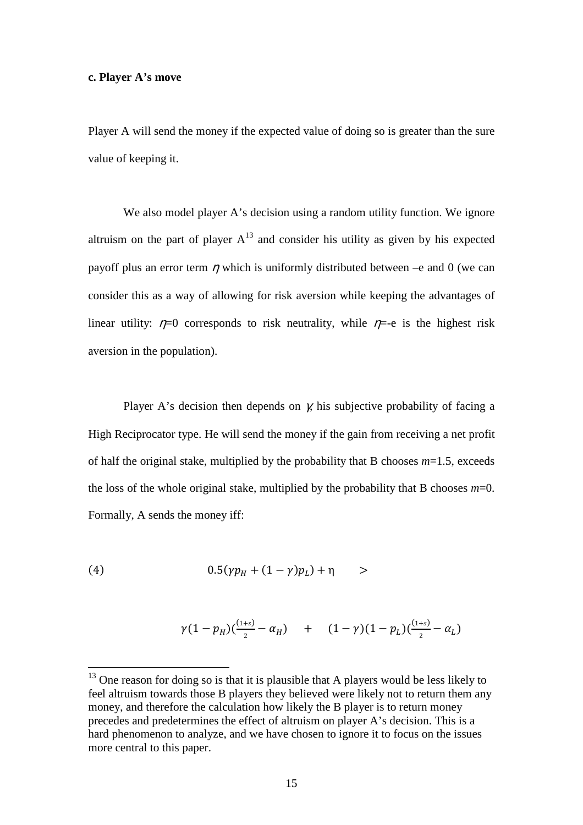#### **c. Player A's move**

Player A will send the money if the expected value of doing so is greater than the sure value of keeping it.

We also model player A's decision using a random utility function. We ignore altruism on the part of player  $A^{13}$  and consider his utility as given by his expected payoff plus an error term  $\eta$  which is uniformly distributed between –e and 0 (we can consider this as a way of allowing for risk aversion while keeping the advantages of linear utility:  $\eta=0$  corresponds to risk neutrality, while  $\eta=-e$  is the highest risk aversion in the population).

Player A's decision then depends on  $\chi$  his subjective probability of facing a High Reciprocator type. He will send the money if the gain from receiving a net profit of half the original stake, multiplied by the probability that B chooses *m*=1.5, exceeds the loss of the whole original stake, multiplied by the probability that B chooses  $m=0$ . Formally, A sends the money iff:

(4) 
$$
0.5(\gamma p_H + (1 - \gamma)p_L) + \eta > 0
$$

 $\overline{a}$ 

$$
\gamma(1-p_H)(\frac{(1+s)}{2}-\alpha_H) + (1-\gamma)(1-p_L)(\frac{(1+s)}{2}-\alpha_L)
$$

 $13$  One reason for doing so is that it is plausible that A players would be less likely to feel altruism towards those B players they believed were likely not to return them any money, and therefore the calculation how likely the B player is to return money precedes and predetermines the effect of altruism on player A's decision. This is a hard phenomenon to analyze, and we have chosen to ignore it to focus on the issues more central to this paper.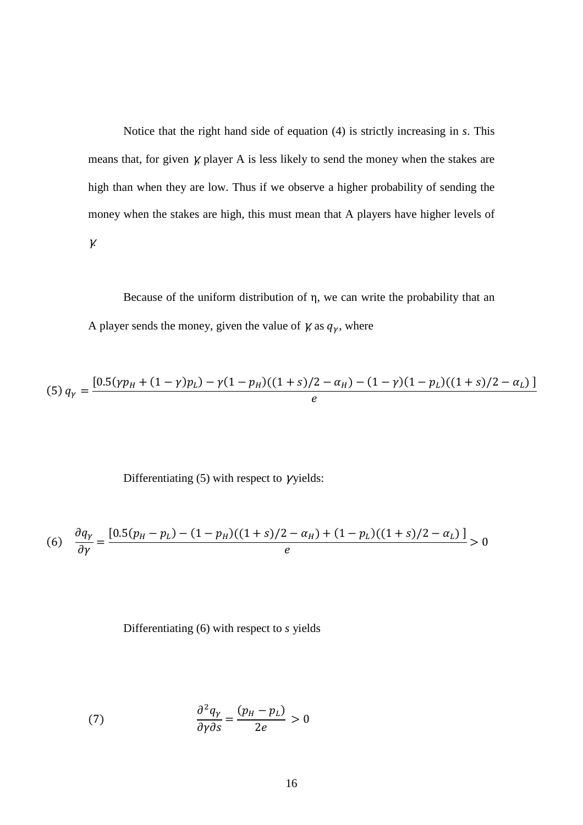Notice that the right hand side of equation (4) is strictly increasing in *s*. This means that, for given γ, player A is less likely to send the money when the stakes are high than when they are low. Thus if we observe a higher probability of sending the money when the stakes are high, this must mean that A players have higher levels of γ.

Because of the uniform distribution of η, we can write the probability that an A player sends the money, given the value of  $\gamma$  as  $q_{\gamma}$ , where

(5) 
$$
q_{\gamma} = \frac{[0.5(\gamma p_H + (1 - \gamma)p_L) - \gamma (1 - p_H)((1 + s)/2 - \alpha_H) - (1 - \gamma)(1 - p_L)((1 + s)/2 - \alpha_L)]}{e}
$$

Differentiating (5) with respect to  $\gamma$ yields:

(6) 
$$
\frac{\partial q_{\gamma}}{\partial \gamma} = \frac{[0.5(p_H - p_L) - (1 - p_H)((1 + s)/2 - \alpha_H) + (1 - p_L)((1 + s)/2 - \alpha_L)]}{e} > 0
$$

Differentiating (6) with respect to *s* yields

(7) 
$$
\frac{\partial^2 q_{\gamma}}{\partial \gamma \partial s} = \frac{(p_H - p_L)}{2e} > 0
$$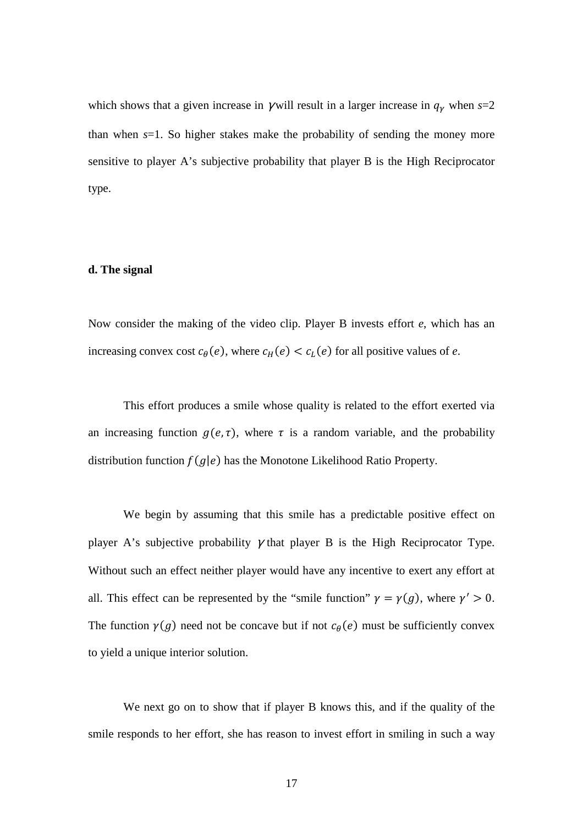which shows that a given increase in  $\gamma$  will result in a larger increase in  $q_{\gamma}$  when  $s=2$ than when *s*=1. So higher stakes make the probability of sending the money more sensitive to player A's subjective probability that player B is the High Reciprocator type.

#### **d. The signal**

Now consider the making of the video clip. Player B invests effort *e*, which has an increasing convex cost  $c_{\theta}(e)$ , where  $c_H(e) < c_L(e)$  for all positive values of *e*.

This effort produces a smile whose quality is related to the effort exerted via an increasing function  $g(e, \tau)$ , where  $\tau$  is a random variable, and the probability distribution function  $f(g|e)$  has the Monotone Likelihood Ratio Property.

We begin by assuming that this smile has a predictable positive effect on player A's subjective probability  $\gamma$  that player B is the High Reciprocator Type. Without such an effect neither player would have any incentive to exert any effort at all. This effect can be represented by the "smile function"  $\gamma = \gamma(g)$ , where  $\gamma' > 0$ . The function  $\gamma(g)$  need not be concave but if not  $c_{\theta}(e)$  must be sufficiently convex to yield a unique interior solution.

We next go on to show that if player B knows this, and if the quality of the smile responds to her effort, she has reason to invest effort in smiling in such a way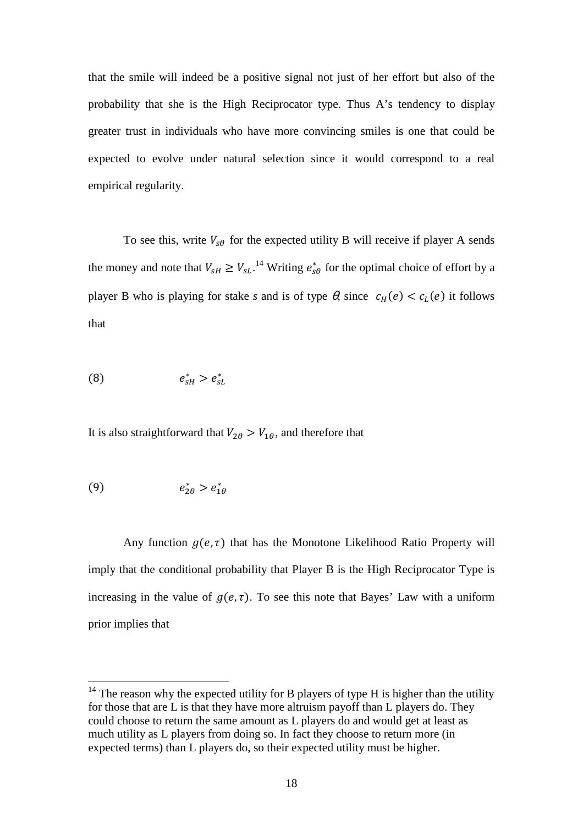that the smile will indeed be a positive signal not just of her effort but also of the probability that she is the High Reciprocator type. Thus A's tendency to display greater trust in individuals who have more convincing smiles is one that could be expected to evolve under natural selection since it would correspond to a real empirical regularity.

To see this, write  $V_{\text{S}\theta}$  for the expected utility B will receive if player A sends the money and note that  $V_{sH} \ge V_{sL}$ .<sup>14</sup> Writing  $e_{s\theta}^*$  for the optimal choice of effort by a player B who is playing for stake *s* and is of type  $\theta$ , since  $c_H(e) < c_L(e)$  it follows that

$$
(8) \t\t e_{sH}^* > e_{sL}^*
$$

It is also straightforward that  $V_{2\theta} > V_{1\theta}$ , and therefore that

$$
(9) \t\t\t e_{2\theta}^* > e_{1\theta}^*
$$

 $\overline{a}$ 

Any function  $g(e, \tau)$  that has the Monotone Likelihood Ratio Property will imply that the conditional probability that Player B is the High Reciprocator Type is increasing in the value of  $g(e, \tau)$ . To see this note that Bayes' Law with a uniform prior implies that

 $14$  The reason why the expected utility for B players of type H is higher than the utility for those that are L is that they have more altruism payoff than L players do. They could choose to return the same amount as L players do and would get at least as much utility as L players from doing so. In fact they choose to return more (in expected terms) than L players do, so their expected utility must be higher.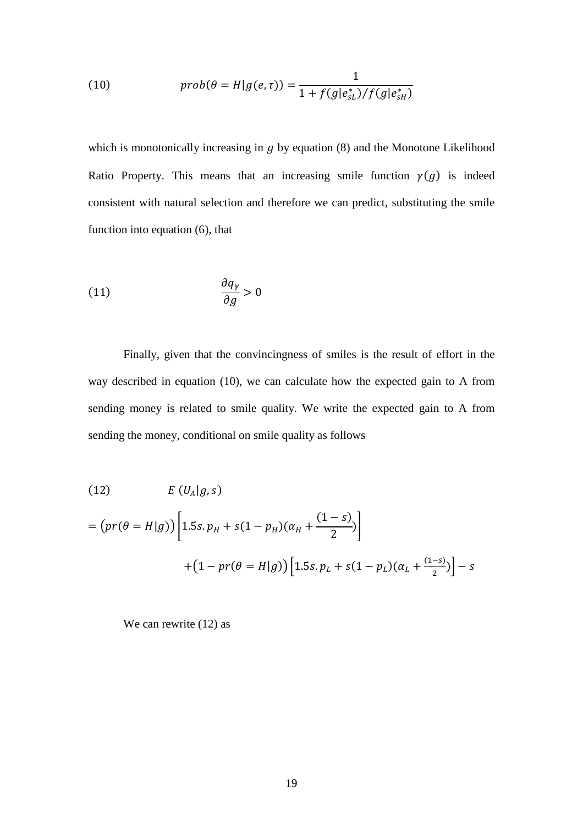(10) 
$$
prob(\theta = H|g(e,\tau)) = \frac{1}{1 + f(g|e_{sL}^*)/f(g|e_{sH}^*)}
$$

which is monotonically increasing in  $q$  by equation (8) and the Monotone Likelihood Ratio Property. This means that an increasing smile function  $\gamma(g)$  is indeed consistent with natural selection and therefore we can predict, substituting the smile function into equation (6), that

$$
\frac{\partial q_{\gamma}}{\partial g} > 0
$$

Finally, given that the convincingness of smiles is the result of effort in the way described in equation (10), we can calculate how the expected gain to A from sending money is related to smile quality. We write the expected gain to A from sending the money, conditional on smile quality as follows

(12) 
$$
E(U_A|g,s)
$$
  
=  $(pr(\theta = H|g)) \left[ 1.5s. p_H + s(1 - p_H)(\alpha_H + \frac{(1 - s)}{2}) \right]$   
+  $(1 - pr(\theta = H|g)) \left[ 1.5s. p_L + s(1 - p_L)(\alpha_L + \frac{(1 - s)}{2}) \right] - s$ 

We can rewrite (12) as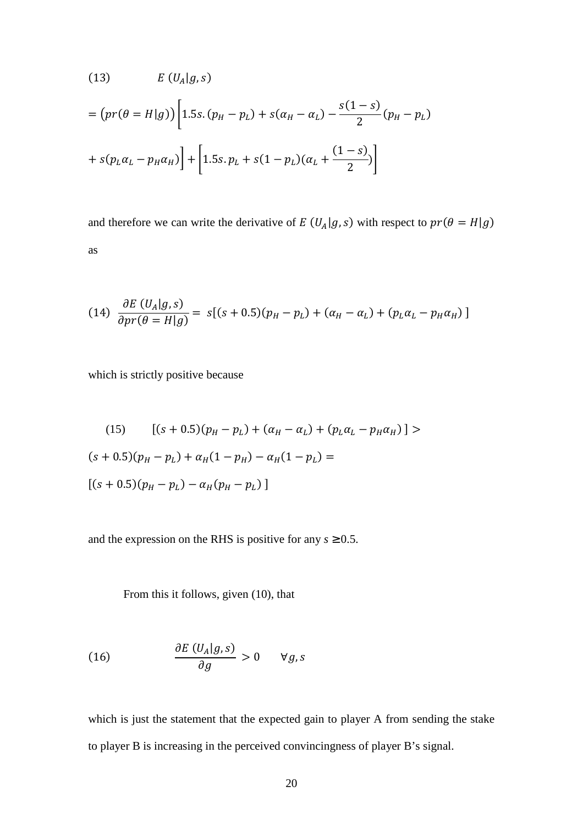(13) 
$$
E(U_A|g,s)
$$
  
=  $(pr(\theta = H|g)) \left[ 1.5s. (p_H - p_L) + s(\alpha_H - \alpha_L) - \frac{s(1-s)}{2} (p_H - p_L) + s(p_L \alpha_L - p_H \alpha_H) \right] + \left[ 1.5s. p_L + s(1 - p_L)(\alpha_L + \frac{(1-s)}{2}) \right]$ 

and therefore we can write the derivative of  $E(U_A|g, s)$  with respect to  $pr(\theta = H|g)$ as

(14) 
$$
\frac{\partial E (U_A | g, s)}{\partial pr(\theta = H | g)} = s[(s + 0.5)(p_H - p_L) + (\alpha_H - \alpha_L) + (p_L \alpha_L - p_H \alpha_H)]
$$

which is strictly positive because

(15) 
$$
[(s + 0.5)(p_H - p_L) + (\alpha_H - \alpha_L) + (p_L \alpha_L - p_H \alpha_H)] >
$$

$$
(s + 0.5)(p_H - p_L) + \alpha_H (1 - p_H) - \alpha_H (1 - p_L) =
$$

$$
[(s + 0.5)(p_H - p_L) - \alpha_H (p_H - p_L)]
$$

and the expression on the RHS is positive for any  $s \geq 0.5$ .

From this it follows, given (10), that

(16) 
$$
\frac{\partial E\left(U_A|g,s\right)}{\partial g} > 0 \quad \forall g,s
$$

which is just the statement that the expected gain to player A from sending the stake to player B is increasing in the perceived convincingness of player B's signal.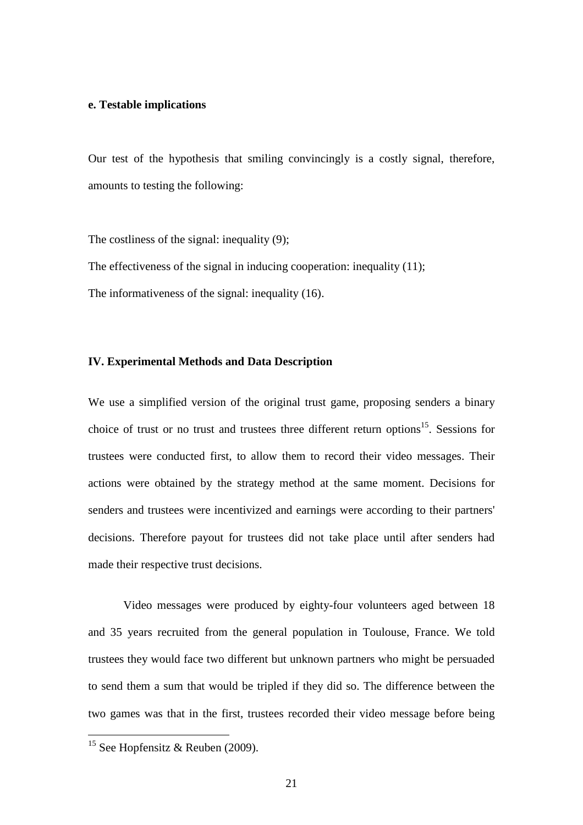#### **e. Testable implications**

Our test of the hypothesis that smiling convincingly is a costly signal, therefore, amounts to testing the following:

The costliness of the signal: inequality (9); The effectiveness of the signal in inducing cooperation: inequality (11); The informativeness of the signal: inequality (16).

## **IV. Experimental Methods and Data Description**

We use a simplified version of the original trust game, proposing senders a binary choice of trust or no trust and trustees three different return options<sup>15</sup>. Sessions for trustees were conducted first, to allow them to record their video messages. Their actions were obtained by the strategy method at the same moment. Decisions for senders and trustees were incentivized and earnings were according to their partners' decisions. Therefore payout for trustees did not take place until after senders had made their respective trust decisions.

 Video messages were produced by eighty-four volunteers aged between 18 and 35 years recruited from the general population in Toulouse, France. We told trustees they would face two different but unknown partners who might be persuaded to send them a sum that would be tripled if they did so. The difference between the two games was that in the first, trustees recorded their video message before being

 $\overline{a}$ 

<sup>&</sup>lt;sup>15</sup> See Hopfensitz & Reuben (2009).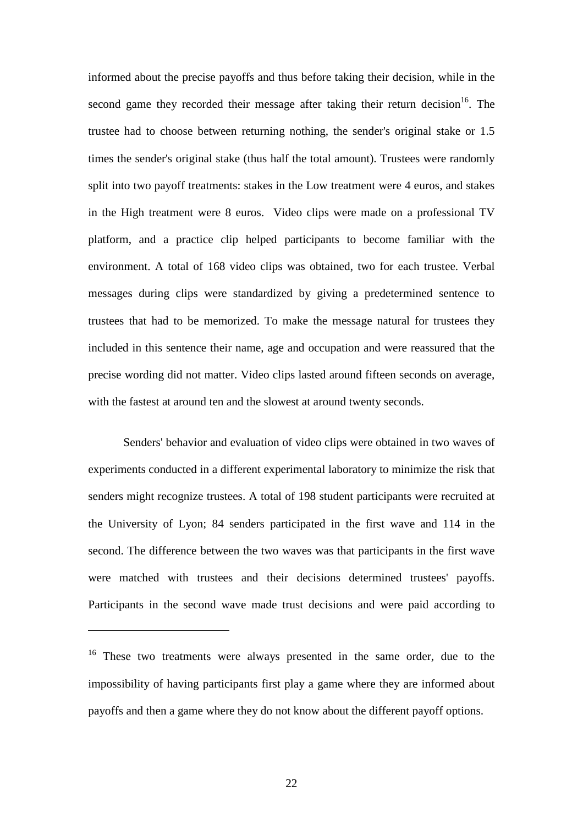informed about the precise payoffs and thus before taking their decision, while in the second game they recorded their message after taking their return decision<sup>16</sup>. The trustee had to choose between returning nothing, the sender's original stake or 1.5 times the sender's original stake (thus half the total amount). Trustees were randomly split into two payoff treatments: stakes in the Low treatment were 4 euros, and stakes in the High treatment were 8 euros. Video clips were made on a professional TV platform, and a practice clip helped participants to become familiar with the environment. A total of 168 video clips was obtained, two for each trustee. Verbal messages during clips were standardized by giving a predetermined sentence to trustees that had to be memorized. To make the message natural for trustees they included in this sentence their name, age and occupation and were reassured that the precise wording did not matter. Video clips lasted around fifteen seconds on average, with the fastest at around ten and the slowest at around twenty seconds.

 Senders' behavior and evaluation of video clips were obtained in two waves of experiments conducted in a different experimental laboratory to minimize the risk that senders might recognize trustees. A total of 198 student participants were recruited at the University of Lyon; 84 senders participated in the first wave and 114 in the second. The difference between the two waves was that participants in the first wave were matched with trustees and their decisions determined trustees' payoffs. Participants in the second wave made trust decisions and were paid according to

 $\overline{a}$ 

<sup>&</sup>lt;sup>16</sup> These two treatments were always presented in the same order, due to the impossibility of having participants first play a game where they are informed about payoffs and then a game where they do not know about the different payoff options.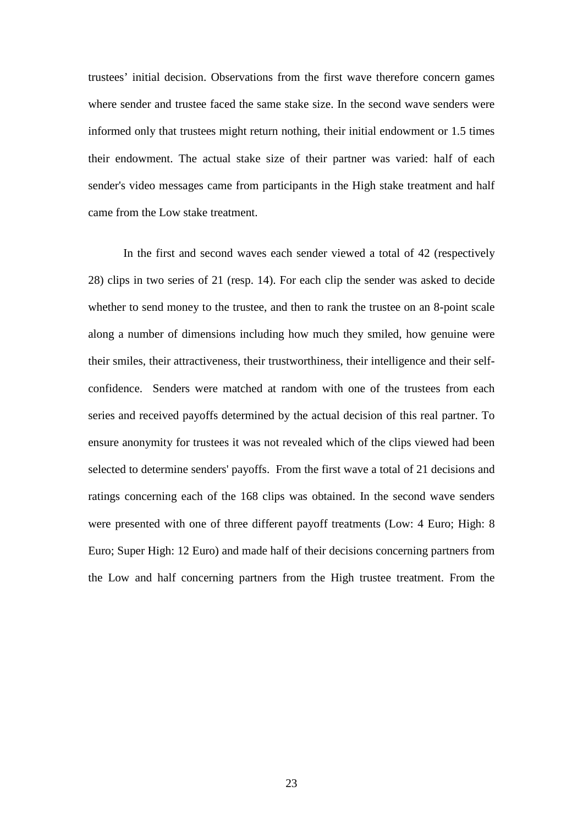trustees' initial decision. Observations from the first wave therefore concern games where sender and trustee faced the same stake size. In the second wave senders were informed only that trustees might return nothing, their initial endowment or 1.5 times their endowment. The actual stake size of their partner was varied: half of each sender's video messages came from participants in the High stake treatment and half came from the Low stake treatment.

 In the first and second waves each sender viewed a total of 42 (respectively 28) clips in two series of 21 (resp. 14). For each clip the sender was asked to decide whether to send money to the trustee, and then to rank the trustee on an 8-point scale along a number of dimensions including how much they smiled, how genuine were their smiles, their attractiveness, their trustworthiness, their intelligence and their selfconfidence. Senders were matched at random with one of the trustees from each series and received payoffs determined by the actual decision of this real partner. To ensure anonymity for trustees it was not revealed which of the clips viewed had been selected to determine senders' payoffs. From the first wave a total of 21 decisions and ratings concerning each of the 168 clips was obtained. In the second wave senders were presented with one of three different payoff treatments (Low: 4 Euro; High: 8 Euro; Super High: 12 Euro) and made half of their decisions concerning partners from the Low and half concerning partners from the High trustee treatment. From the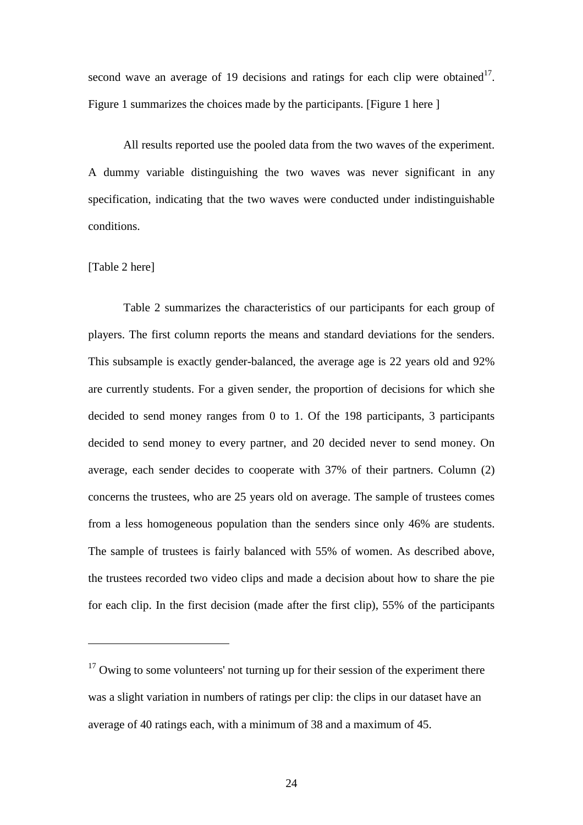second wave an average of 19 decisions and ratings for each clip were obtained<sup>17</sup>. Figure 1 summarizes the choices made by the participants. [Figure 1 here ]

 All results reported use the pooled data from the two waves of the experiment. A dummy variable distinguishing the two waves was never significant in any specification, indicating that the two waves were conducted under indistinguishable conditions.

#### [Table 2 here]

 $\overline{a}$ 

 Table 2 summarizes the characteristics of our participants for each group of players. The first column reports the means and standard deviations for the senders. This subsample is exactly gender-balanced, the average age is 22 years old and 92% are currently students. For a given sender, the proportion of decisions for which she decided to send money ranges from 0 to 1. Of the 198 participants, 3 participants decided to send money to every partner, and 20 decided never to send money. On average, each sender decides to cooperate with 37% of their partners. Column (2) concerns the trustees, who are 25 years old on average. The sample of trustees comes from a less homogeneous population than the senders since only 46% are students. The sample of trustees is fairly balanced with 55% of women. As described above, the trustees recorded two video clips and made a decision about how to share the pie for each clip. In the first decision (made after the first clip), 55% of the participants

 $17$  Owing to some volunteers' not turning up for their session of the experiment there was a slight variation in numbers of ratings per clip: the clips in our dataset have an average of 40 ratings each, with a minimum of 38 and a maximum of 45.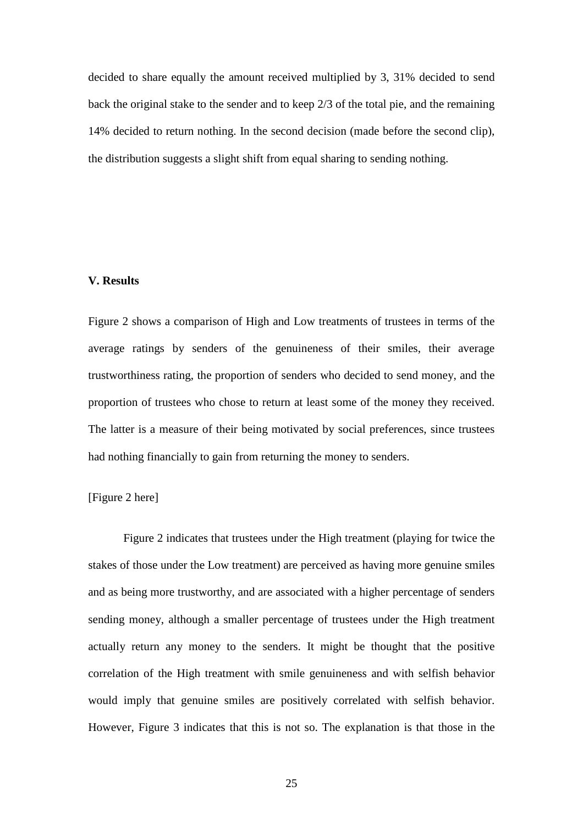decided to share equally the amount received multiplied by 3, 31% decided to send back the original stake to the sender and to keep 2/3 of the total pie, and the remaining 14% decided to return nothing. In the second decision (made before the second clip), the distribution suggests a slight shift from equal sharing to sending nothing.

#### **V. Results**

Figure 2 shows a comparison of High and Low treatments of trustees in terms of the average ratings by senders of the genuineness of their smiles, their average trustworthiness rating, the proportion of senders who decided to send money, and the proportion of trustees who chose to return at least some of the money they received. The latter is a measure of their being motivated by social preferences, since trustees had nothing financially to gain from returning the money to senders.

### [Figure 2 here]

 Figure 2 indicates that trustees under the High treatment (playing for twice the stakes of those under the Low treatment) are perceived as having more genuine smiles and as being more trustworthy, and are associated with a higher percentage of senders sending money, although a smaller percentage of trustees under the High treatment actually return any money to the senders. It might be thought that the positive correlation of the High treatment with smile genuineness and with selfish behavior would imply that genuine smiles are positively correlated with selfish behavior. However, Figure 3 indicates that this is not so. The explanation is that those in the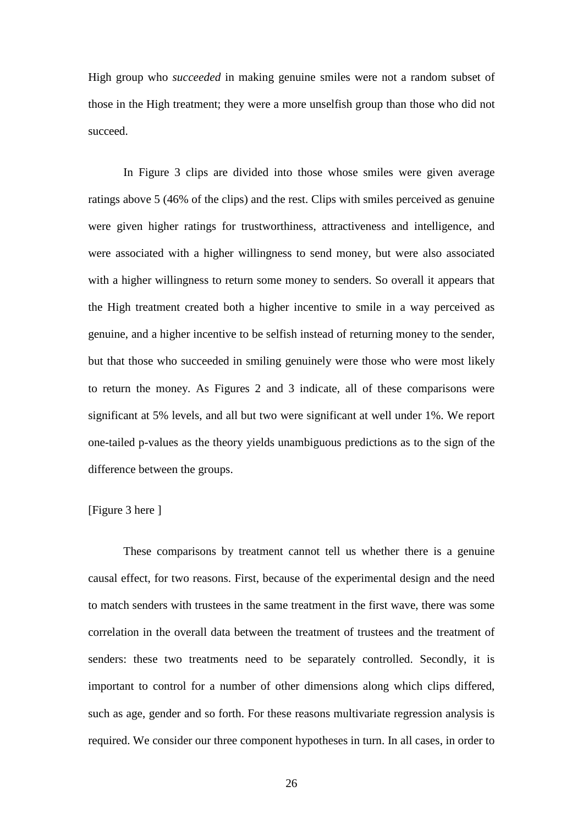High group who *succeeded* in making genuine smiles were not a random subset of those in the High treatment; they were a more unselfish group than those who did not succeed.

 In Figure 3 clips are divided into those whose smiles were given average ratings above 5 (46% of the clips) and the rest. Clips with smiles perceived as genuine were given higher ratings for trustworthiness, attractiveness and intelligence, and were associated with a higher willingness to send money, but were also associated with a higher willingness to return some money to senders. So overall it appears that the High treatment created both a higher incentive to smile in a way perceived as genuine, and a higher incentive to be selfish instead of returning money to the sender, but that those who succeeded in smiling genuinely were those who were most likely to return the money. As Figures 2 and 3 indicate, all of these comparisons were significant at 5% levels, and all but two were significant at well under 1%. We report one-tailed p-values as the theory yields unambiguous predictions as to the sign of the difference between the groups.

### [Figure 3 here ]

 These comparisons by treatment cannot tell us whether there is a genuine causal effect, for two reasons. First, because of the experimental design and the need to match senders with trustees in the same treatment in the first wave, there was some correlation in the overall data between the treatment of trustees and the treatment of senders: these two treatments need to be separately controlled. Secondly, it is important to control for a number of other dimensions along which clips differed, such as age, gender and so forth. For these reasons multivariate regression analysis is required. We consider our three component hypotheses in turn. In all cases, in order to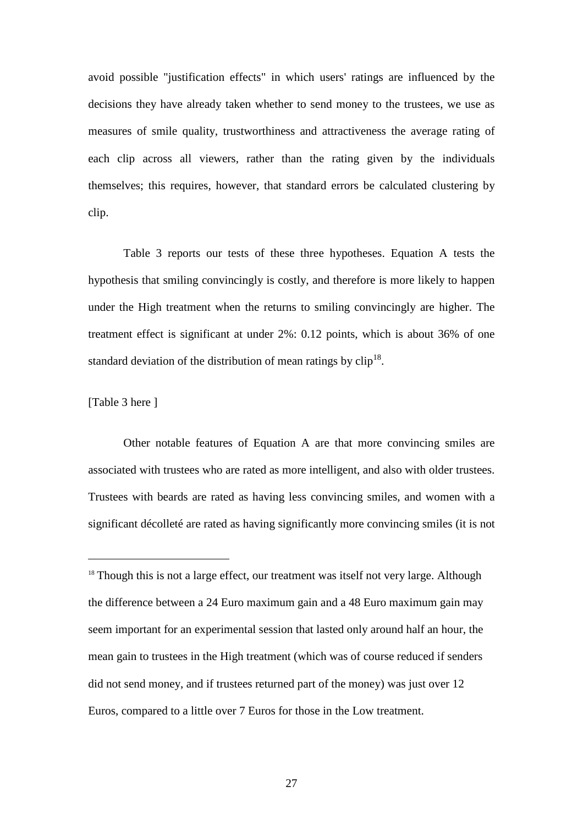avoid possible "justification effects" in which users' ratings are influenced by the decisions they have already taken whether to send money to the trustees, we use as measures of smile quality, trustworthiness and attractiveness the average rating of each clip across all viewers, rather than the rating given by the individuals themselves; this requires, however, that standard errors be calculated clustering by clip.

 Table 3 reports our tests of these three hypotheses. Equation A tests the hypothesis that smiling convincingly is costly, and therefore is more likely to happen under the High treatment when the returns to smiling convincingly are higher. The treatment effect is significant at under 2%: 0.12 points, which is about 36% of one standard deviation of the distribution of mean ratings by  $\text{clip}^{18}$ .

## [Table 3 here ]

 $\overline{a}$ 

 Other notable features of Equation A are that more convincing smiles are associated with trustees who are rated as more intelligent, and also with older trustees. Trustees with beards are rated as having less convincing smiles, and women with a significant décolleté are rated as having significantly more convincing smiles (it is not

<sup>&</sup>lt;sup>18</sup> Though this is not a large effect, our treatment was itself not very large. Although the difference between a 24 Euro maximum gain and a 48 Euro maximum gain may seem important for an experimental session that lasted only around half an hour, the mean gain to trustees in the High treatment (which was of course reduced if senders did not send money, and if trustees returned part of the money) was just over 12 Euros, compared to a little over 7 Euros for those in the Low treatment.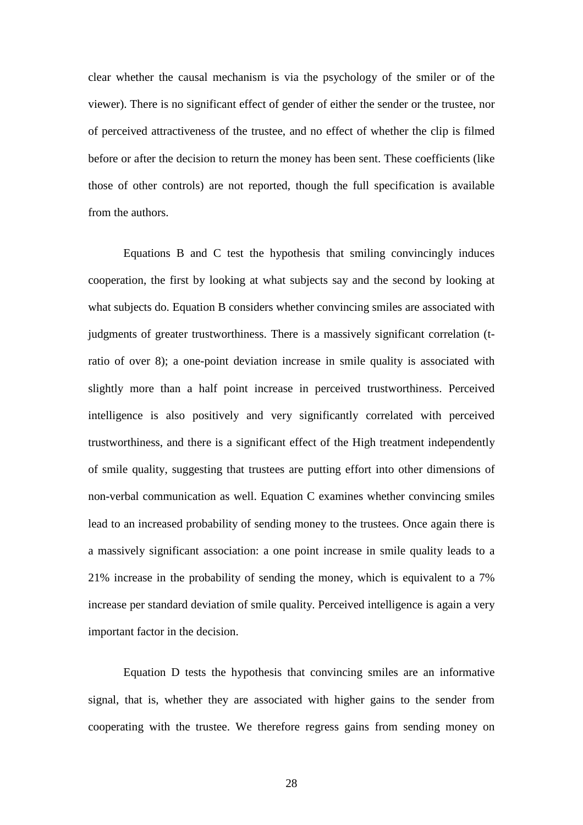clear whether the causal mechanism is via the psychology of the smiler or of the viewer). There is no significant effect of gender of either the sender or the trustee, nor of perceived attractiveness of the trustee, and no effect of whether the clip is filmed before or after the decision to return the money has been sent. These coefficients (like those of other controls) are not reported, though the full specification is available from the authors.

 Equations B and C test the hypothesis that smiling convincingly induces cooperation, the first by looking at what subjects say and the second by looking at what subjects do. Equation B considers whether convincing smiles are associated with judgments of greater trustworthiness. There is a massively significant correlation (tratio of over 8); a one-point deviation increase in smile quality is associated with slightly more than a half point increase in perceived trustworthiness. Perceived intelligence is also positively and very significantly correlated with perceived trustworthiness, and there is a significant effect of the High treatment independently of smile quality, suggesting that trustees are putting effort into other dimensions of non-verbal communication as well. Equation C examines whether convincing smiles lead to an increased probability of sending money to the trustees. Once again there is a massively significant association: a one point increase in smile quality leads to a 21% increase in the probability of sending the money, which is equivalent to a 7% increase per standard deviation of smile quality. Perceived intelligence is again a very important factor in the decision.

 Equation D tests the hypothesis that convincing smiles are an informative signal, that is, whether they are associated with higher gains to the sender from cooperating with the trustee. We therefore regress gains from sending money on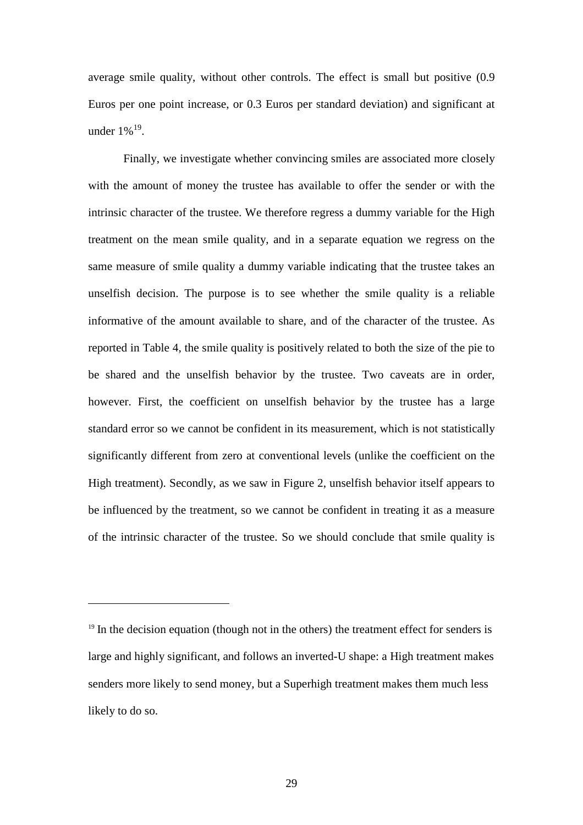average smile quality, without other controls. The effect is small but positive (0.9 Euros per one point increase, or 0.3 Euros per standard deviation) and significant at under  $1\%$ <sup>19</sup>.

 Finally, we investigate whether convincing smiles are associated more closely with the amount of money the trustee has available to offer the sender or with the intrinsic character of the trustee. We therefore regress a dummy variable for the High treatment on the mean smile quality, and in a separate equation we regress on the same measure of smile quality a dummy variable indicating that the trustee takes an unselfish decision. The purpose is to see whether the smile quality is a reliable informative of the amount available to share, and of the character of the trustee. As reported in Table 4, the smile quality is positively related to both the size of the pie to be shared and the unselfish behavior by the trustee. Two caveats are in order, however. First, the coefficient on unselfish behavior by the trustee has a large standard error so we cannot be confident in its measurement, which is not statistically significantly different from zero at conventional levels (unlike the coefficient on the High treatment). Secondly, as we saw in Figure 2, unselfish behavior itself appears to be influenced by the treatment, so we cannot be confident in treating it as a measure of the intrinsic character of the trustee. So we should conclude that smile quality is

 $\overline{a}$ 

 $19$  In the decision equation (though not in the others) the treatment effect for senders is large and highly significant, and follows an inverted-U shape: a High treatment makes senders more likely to send money, but a Superhigh treatment makes them much less likely to do so.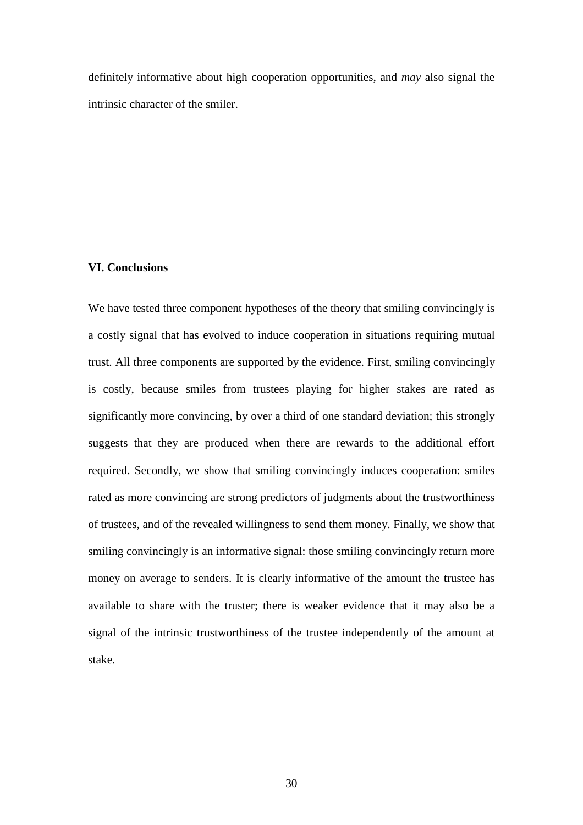definitely informative about high cooperation opportunities, and *may* also signal the intrinsic character of the smiler.

#### **VI. Conclusions**

We have tested three component hypotheses of the theory that smiling convincingly is a costly signal that has evolved to induce cooperation in situations requiring mutual trust. All three components are supported by the evidence. First, smiling convincingly is costly, because smiles from trustees playing for higher stakes are rated as significantly more convincing, by over a third of one standard deviation; this strongly suggests that they are produced when there are rewards to the additional effort required. Secondly, we show that smiling convincingly induces cooperation: smiles rated as more convincing are strong predictors of judgments about the trustworthiness of trustees, and of the revealed willingness to send them money. Finally, we show that smiling convincingly is an informative signal: those smiling convincingly return more money on average to senders. It is clearly informative of the amount the trustee has available to share with the truster; there is weaker evidence that it may also be a signal of the intrinsic trustworthiness of the trustee independently of the amount at stake.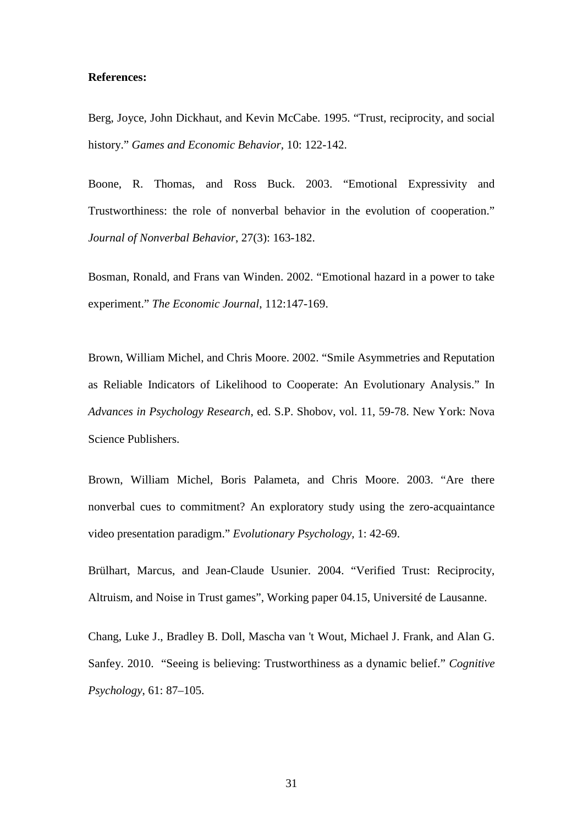#### **References:**

Berg, Joyce, John Dickhaut, and Kevin McCabe. 1995. "Trust, reciprocity, and social history." *Games and Economic Behavior,* 10: 122-142.

Boone, R. Thomas, and Ross Buck. 2003. "Emotional Expressivity and Trustworthiness: the role of nonverbal behavior in the evolution of cooperation." *Journal of Nonverbal Behavior*, 27(3): 163-182.

Bosman, Ronald, and Frans van Winden. 2002. "Emotional hazard in a power to take experiment." *The Economic Journal*, 112:147-169.

Brown, William Michel, and Chris Moore. 2002. "Smile Asymmetries and Reputation as Reliable Indicators of Likelihood to Cooperate: An Evolutionary Analysis." In *Advances in Psychology Research*, ed. S.P. Shobov, vol. 11, 59-78. New York: Nova Science Publishers.

Brown, William Michel, Boris Palameta, and Chris Moore. 2003. "Are there nonverbal cues to commitment? An exploratory study using the zero-acquaintance video presentation paradigm." *Evolutionary Psychology,* 1: 42-69.

Brülhart, Marcus, and Jean-Claude Usunier. 2004. "Verified Trust: Reciprocity, Altruism, and Noise in Trust games", Working paper 04.15, Université de Lausanne.

Chang, Luke J., Bradley B. Doll, Mascha van 't Wout, Michael J. Frank, and Alan G. Sanfey. 2010. "Seeing is believing: Trustworthiness as a dynamic belief." *Cognitive Psychology*, 61: 87–105.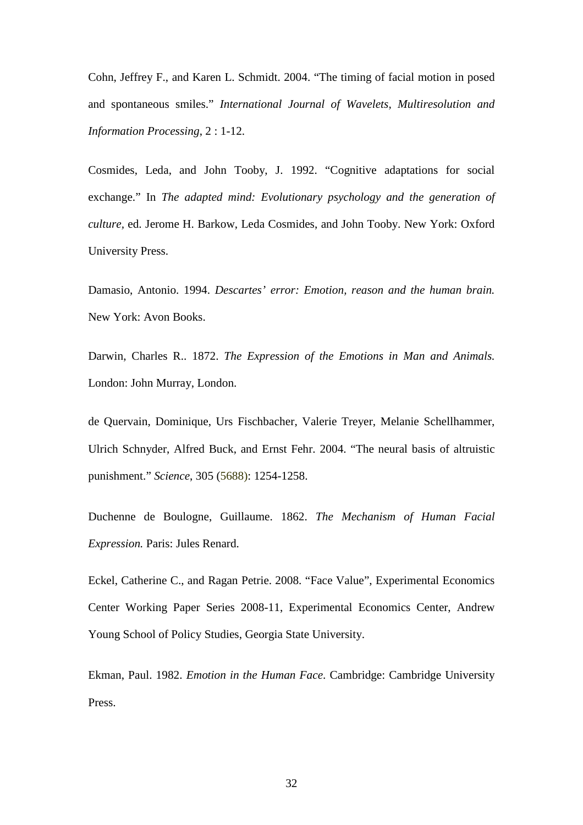Cohn, Jeffrey F., and Karen L. Schmidt. 2004. "The timing of facial motion in posed and spontaneous smiles." *International Journal of Wavelets, Multiresolution and Information Processing*, 2 : 1-12.

Cosmides, Leda, and John Tooby, J. 1992. "Cognitive adaptations for social exchange." In *The adapted mind: Evolutionary psychology and the generation of culture,* ed. Jerome H. Barkow, Leda Cosmides, and John Tooby. New York: Oxford University Press.

Damasio, Antonio. 1994. *Descartes' error: Emotion, reason and the human brain.* New York: Avon Books.

Darwin, Charles R.. 1872. *The Expression of the Emotions in Man and Animals.* London: John Murray, London.

de Quervain, Dominique, Urs Fischbacher, Valerie Treyer, Melanie Schellhammer, Ulrich Schnyder, Alfred Buck, and Ernst Fehr. 2004. "The neural basis of altruistic punishment." *Science*, 305 (5688): 1254-1258.

Duchenne de Boulogne, Guillaume. 1862. *The Mechanism of Human Facial Expression.* Paris: Jules Renard.

Eckel, Catherine C., and Ragan Petrie. 2008. "Face Value", Experimental Economics Center Working Paper Series 2008-11, Experimental Economics Center, Andrew Young School of Policy Studies, Georgia State University.

Ekman, Paul. 1982. *Emotion in the Human Face*. Cambridge: Cambridge University Press.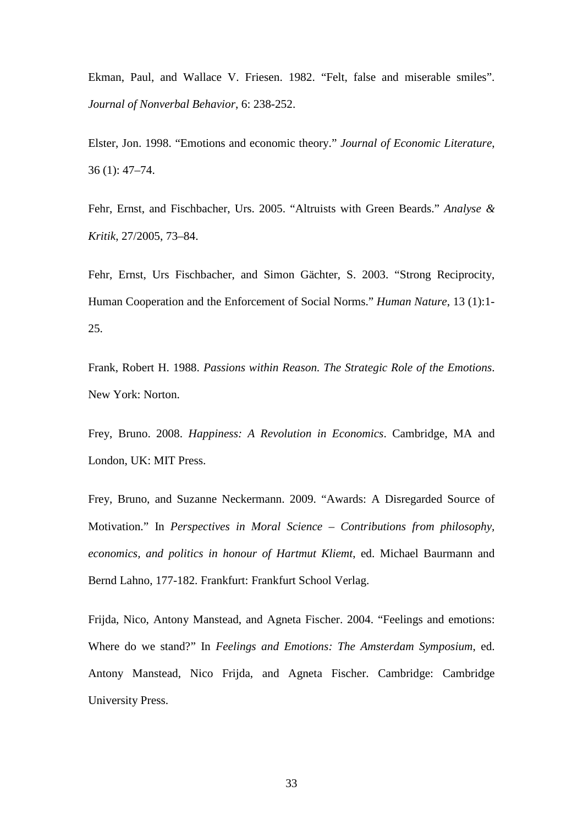Ekman, Paul, and Wallace V. Friesen. 1982. "Felt, false and miserable smiles". *Journal of Nonverbal Behavior*, 6: 238-252.

Elster, Jon. 1998. "Emotions and economic theory." *Journal of Economic Literature*, 36 (1): 47–74.

Fehr, Ernst, and Fischbacher, Urs. 2005. "Altruists with Green Beards." *Analyse & Kritik*, 27/2005, 73–84.

Fehr, Ernst, Urs Fischbacher, and Simon Gächter, S. 2003. "Strong Reciprocity, Human Cooperation and the Enforcement of Social Norms." *Human Nature*, 13 (1):1- 25.

Frank, Robert H. 1988. *Passions within Reason. The Strategic Role of the Emotions*. New York: Norton.

Frey, Bruno. 2008. *Happiness: A Revolution in Economics*. Cambridge, MA and London, UK: MIT Press.

Frey, Bruno, and Suzanne Neckermann. 2009. "Awards: A Disregarded Source of Motivation." In *Perspectives in Moral Science – Contributions from philosophy, economics, and politics in honour of Hartmut Kliemt*, ed. Michael Baurmann and Bernd Lahno, 177-182. Frankfurt: Frankfurt School Verlag.

Frijda, Nico, Antony Manstead, and Agneta Fischer. 2004. "Feelings and emotions: Where do we stand?" In *Feelings and Emotions: The Amsterdam Symposium*, ed. Antony Manstead, Nico Frijda, and Agneta Fischer. Cambridge: Cambridge University Press.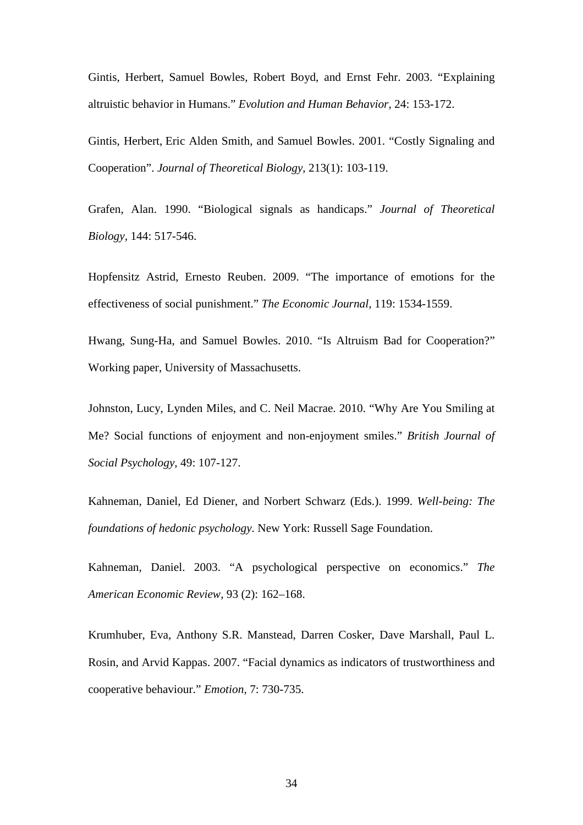Gintis, Herbert, Samuel Bowles, Robert Boyd, and Ernst Fehr. 2003. "Explaining altruistic behavior in Humans." *Evolution and Human Behavior,* 24: 153-172.

Gintis, Herbert, Eric Alden Smith, and Samuel Bowles. 2001. "Costly Signaling and Cooperation". *Journal of Theoretical Biology*, 213(1): 103-119.

Grafen, Alan. 1990. "Biological signals as handicaps." *Journal of Theoretical Biology,* 144: 517-546.

Hopfensitz Astrid, Ernesto Reuben. 2009. "The importance of emotions for the effectiveness of social punishment." *The Economic Journal,* 119: 1534-1559.

Hwang, Sung-Ha, and Samuel Bowles. 2010. "Is Altruism Bad for Cooperation?" Working paper, University of Massachusetts.

Johnston, Lucy, Lynden Miles, and C. Neil Macrae. 2010. "Why Are You Smiling at Me? Social functions of enjoyment and non-enjoyment smiles." *British Journal of Social Psychology,* 49: 107-127.

Kahneman, Daniel, Ed Diener, and Norbert Schwarz (Eds.). 1999. *Well-being: The foundations of hedonic psychology*. New York: Russell Sage Foundation.

Kahneman, Daniel. 2003. "A psychological perspective on economics." *The American Economic Review*, 93 (2): 162–168.

Krumhuber, Eva, Anthony S.R. Manstead, Darren Cosker, Dave Marshall, Paul L. Rosin, and Arvid Kappas. 2007. "Facial dynamics as indicators of trustworthiness and cooperative behaviour." *Emotion,* 7: 730-735.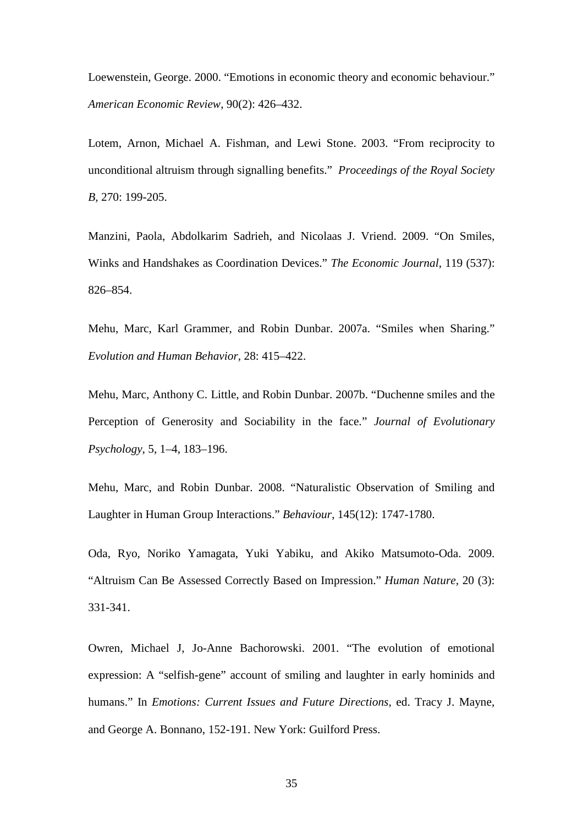Loewenstein, George. 2000. "Emotions in economic theory and economic behaviour." *American Economic Review*, 90(2): 426–432.

Lotem, Arnon, Michael A. Fishman, and Lewi Stone. 2003. "From reciprocity to unconditional altruism through signalling benefits." *Proceedings of the Royal Society B,* 270: 199-205.

Manzini, Paola, Abdolkarim Sadrieh, and Nicolaas J. Vriend. 2009. "On Smiles, Winks and Handshakes as Coordination Devices." *The Economic Journal*, 119 (537): 826–854.

Mehu, Marc, Karl Grammer, and Robin Dunbar. 2007a. "Smiles when Sharing." *Evolution and Human Behavior,* 28: 415–422.

Mehu, Marc, Anthony C. Little, and Robin Dunbar. 2007b. "Duchenne smiles and the Perception of Generosity and Sociability in the face." *Journal of Evolutionary Psychology*, 5, 1–4, 183–196.

Mehu, Marc, and Robin Dunbar. 2008. "Naturalistic Observation of Smiling and Laughter in Human Group Interactions." *Behaviour*, 145(12): 1747-1780.

Oda, Ryo, Noriko Yamagata, Yuki Yabiku, and Akiko Matsumoto-Oda. 2009. "Altruism Can Be Assessed Correctly Based on Impression." *Human Nature,* 20 (3): 331-341.

Owren, Michael J, Jo-Anne Bachorowski. 2001. "The evolution of emotional expression: A "selfish-gene" account of smiling and laughter in early hominids and humans." In *Emotions: Current Issues and Future Directions*, ed. Tracy J. Mayne, and George A. Bonnano, 152-191. New York: Guilford Press.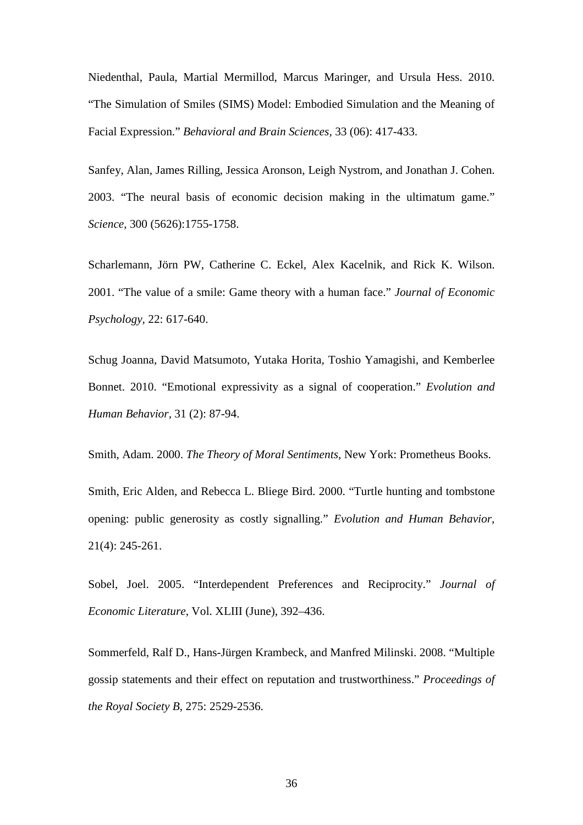Niedenthal, Paula, Martial Mermillod, Marcus Maringer, and Ursula Hess. 2010. "The Simulation of Smiles (SIMS) Model: Embodied Simulation and the Meaning of Facial Expression." *Behavioral and Brain Sciences,* 33 (06): 417-433.

Sanfey, Alan, James Rilling, Jessica Aronson, Leigh Nystrom, and Jonathan J. Cohen. 2003. "The neural basis of economic decision making in the ultimatum game." *Science*, 300 (5626):1755-1758.

Scharlemann, Jörn PW, Catherine C. Eckel, Alex Kacelnik, and Rick K. Wilson. 2001. "The value of a smile: Game theory with a human face." *Journal of Economic Psychology,* 22: 617-640.

Schug Joanna, David Matsumoto, Yutaka Horita, Toshio Yamagishi, and Kemberlee Bonnet. 2010. "Emotional expressivity as a signal of cooperation." *Evolution and Human Behavior,* 31 (2): 87-94.

Smith, Adam. 2000. *The Theory of Moral Sentiments*, New York: Prometheus Books.

Smith, Eric Alden, and Rebecca L. Bliege Bird. 2000. "Turtle hunting and tombstone opening: public generosity as costly signalling." *Evolution and Human Behavior*, 21(4): 245-261.

Sobel, Joel. 2005. "Interdependent Preferences and Reciprocity." *Journal of Economic Literature*, Vol. XLIII (June), 392–436.

Sommerfeld, Ralf D., Hans-Jürgen Krambeck, and Manfred Milinski. 2008. "Multiple gossip statements and their effect on reputation and trustworthiness." *Proceedings of the Royal Society B*, 275: 2529-2536.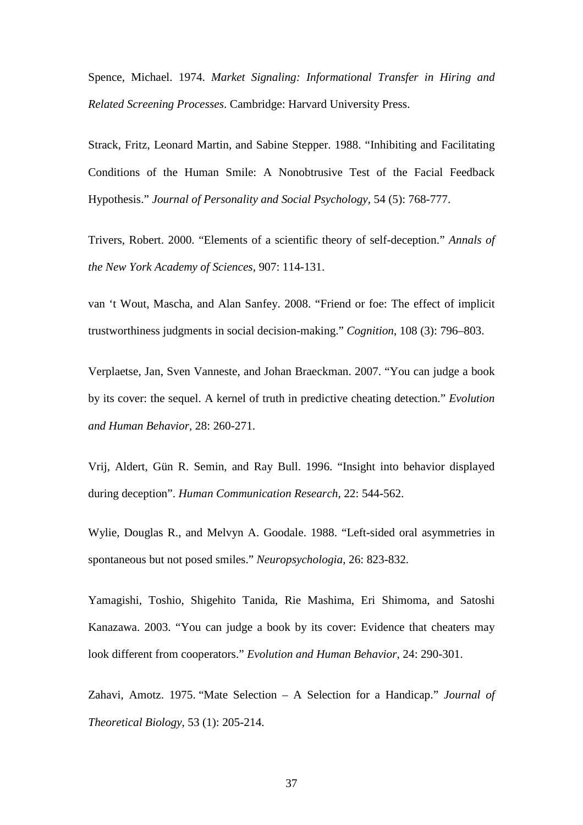Spence, Michael. 1974. *Market Signaling: Informational Transfer in Hiring and Related Screening Processes*. Cambridge: Harvard University Press.

Strack, Fritz, Leonard Martin, and Sabine Stepper. 1988. "Inhibiting and Facilitating Conditions of the Human Smile: A Nonobtrusive Test of the Facial Feedback Hypothesis." *Journal of Personality and Social Psychology,* 54 (5): 768-777.

Trivers, Robert. 2000. "Elements of a scientific theory of self-deception." *Annals of the New York Academy of Sciences,* 907: 114-131.

van 't Wout, Mascha, and Alan Sanfey. 2008. "Friend or foe: The effect of implicit trustworthiness judgments in social decision-making." *Cognition*, 108 (3): 796–803.

Verplaetse, Jan, Sven Vanneste, and Johan Braeckman. 2007. "You can judge a book by its cover: the sequel. A kernel of truth in predictive cheating detection." *Evolution and Human Behavior,* 28: 260-271.

Vrij, Aldert, Gün R. Semin, and Ray Bull. 1996. "Insight into behavior displayed during deception". *Human Communication Research,* 22: 544-562.

Wylie, Douglas R., and Melvyn A. Goodale. 1988. "Left-sided oral asymmetries in spontaneous but not posed smiles." *Neuropsychologia*, 26: 823-832.

Yamagishi, Toshio, Shigehito Tanida, Rie Mashima, Eri Shimoma, and Satoshi Kanazawa. 2003. "You can judge a book by its cover: Evidence that cheaters may look different from cooperators." *Evolution and Human Behavior,* 24: 290-301.

Zahavi, Amotz. 1975. "Mate Selection – A Selection for a Handicap." *Journal of Theoretical Biology*, 53 (1): 205-214.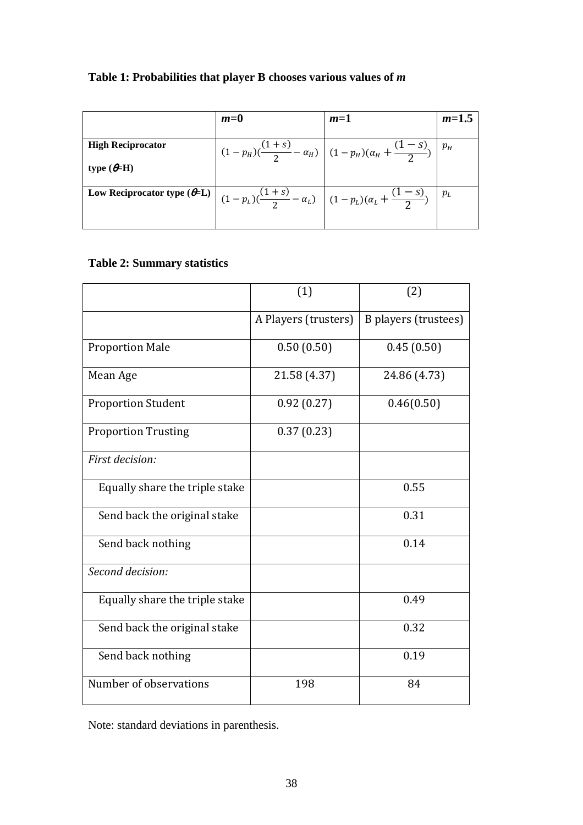# **Table 1: Probabilities that player B chooses various values of** *m*

|                                                                                                                                         | $m=0$ | $m=1$                                                                             | $m=1.5$ |
|-----------------------------------------------------------------------------------------------------------------------------------------|-------|-----------------------------------------------------------------------------------|---------|
| <b>High Reciprocator</b>                                                                                                                |       | $\left (1-p_H)(\frac{(1+s)}{2}-\alpha_H)\right (1-p_H)(\alpha_H+\frac{(1-s)}{2})$ | $p_H$   |
| type $(e=H)$                                                                                                                            |       |                                                                                   | $p_L$   |
| Low Reciprocator type $(\theta = L)$ $\left[ (1 - p_L) (\frac{(1 + s)}{2} - \alpha_L) \right] (1 - p_L) (\alpha_L + \frac{(1 - s)}{2})$ |       |                                                                                   |         |

# **Table 2: Summary statistics**

|                                | (1)                  | (2)                         |
|--------------------------------|----------------------|-----------------------------|
|                                | A Players (trusters) | <b>B</b> players (trustees) |
| <b>Proportion Male</b>         | 0.50(0.50)           | 0.45(0.50)                  |
| Mean Age                       | 21.58 (4.37)         | 24.86 (4.73)                |
| <b>Proportion Student</b>      | 0.92(0.27)           | 0.46(0.50)                  |
| <b>Proportion Trusting</b>     | 0.37(0.23)           |                             |
| First decision:                |                      |                             |
| Equally share the triple stake |                      | 0.55                        |
| Send back the original stake   |                      | 0.31                        |
| Send back nothing              |                      | 0.14                        |
| Second decision:               |                      |                             |
| Equally share the triple stake |                      | 0.49                        |
| Send back the original stake   |                      | 0.32                        |
| Send back nothing              |                      | 0.19                        |
| Number of observations         | 198                  | 84                          |

Note: standard deviations in parenthesis.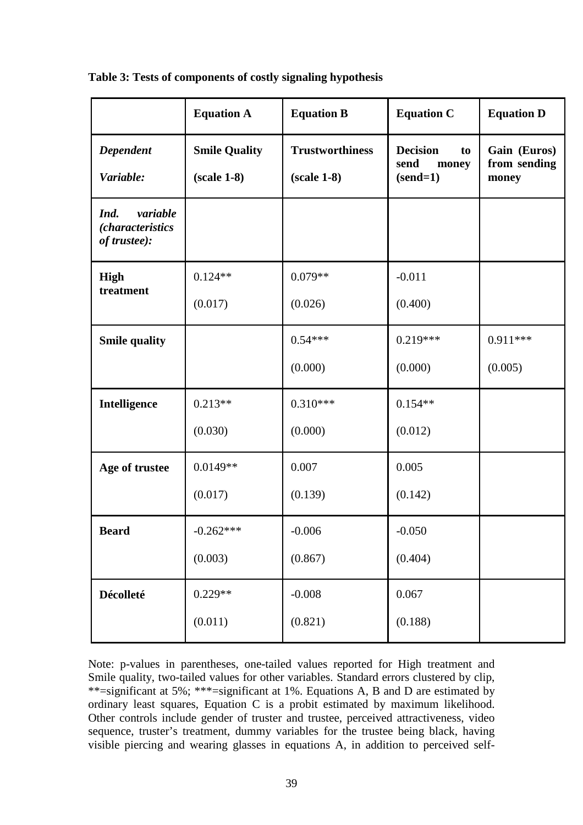|                                                             | <b>Equation A</b>                     | <b>Equation B</b>                       | <b>Equation C</b>                                    | <b>Equation D</b>                     |
|-------------------------------------------------------------|---------------------------------------|-----------------------------------------|------------------------------------------------------|---------------------------------------|
| Dependent<br>Variable:                                      | <b>Smile Quality</b><br>$(scale 1-8)$ | <b>Trustworthiness</b><br>$(scale 1-8)$ | <b>Decision</b><br>to<br>send<br>money<br>$(send=1)$ | Gain (Euros)<br>from sending<br>money |
| variable<br>Ind.<br><i>(characteristics</i><br>of trustee): |                                       |                                         |                                                      |                                       |
| <b>High</b>                                                 | $0.124**$                             | $0.079**$                               | $-0.011$                                             |                                       |
| treatment                                                   | (0.017)                               | (0.026)                                 | (0.400)                                              |                                       |
| <b>Smile quality</b>                                        |                                       | $0.54***$                               | $0.219***$                                           | $0.911***$                            |
|                                                             |                                       | (0.000)                                 | (0.000)                                              | (0.005)                               |
| Intelligence                                                | $0.213**$                             | $0.310***$                              | $0.154**$                                            |                                       |
|                                                             | (0.030)                               | (0.000)                                 | (0.012)                                              |                                       |
| Age of trustee                                              | $0.0149**$                            | 0.007                                   | 0.005                                                |                                       |
|                                                             | (0.017)                               | (0.139)                                 | (0.142)                                              |                                       |
| <b>Beard</b>                                                | $-0.262***$                           | $-0.006$                                | $-0.050$                                             |                                       |
|                                                             | (0.003)                               | (0.867)                                 | (0.404)                                              |                                       |
| Décolleté                                                   | $0.229**$                             | $-0.008$                                | 0.067                                                |                                       |
|                                                             | (0.011)                               | (0.821)                                 | (0.188)                                              |                                       |

**Table 3: Tests of components of costly signaling hypothesis**

Note: p-values in parentheses, one-tailed values reported for High treatment and Smile quality, two-tailed values for other variables. Standard errors clustered by clip, \*\*=significant at 5%; \*\*\*=significant at 1%. Equations A, B and D are estimated by ordinary least squares, Equation C is a probit estimated by maximum likelihood. Other controls include gender of truster and trustee, perceived attractiveness, video sequence, truster's treatment, dummy variables for the trustee being black, having visible piercing and wearing glasses in equations A, in addition to perceived self-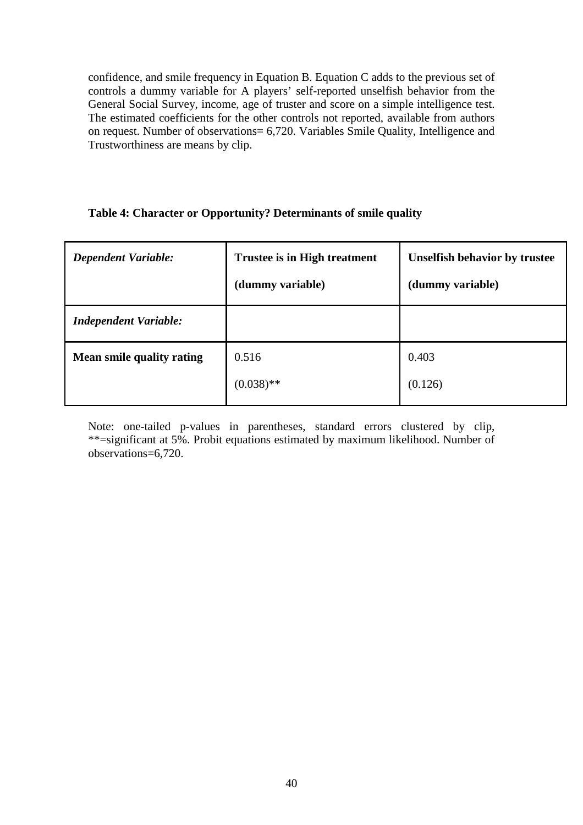confidence, and smile frequency in Equation B. Equation C adds to the previous set of controls a dummy variable for A players' self-reported unselfish behavior from the General Social Survey, income, age of truster and score on a simple intelligence test. The estimated coefficients for the other controls not reported, available from authors on request. Number of observations= 6,720. Variables Smile Quality, Intelligence and Trustworthiness are means by clip.

# **Table 4: Character or Opportunity? Determinants of smile quality**

| <b>Dependent Variable:</b>   | <b>Trustee is in High treatment</b><br>(dummy variable) | <b>Unselfish behavior by trustee</b><br>(dummy variable) |
|------------------------------|---------------------------------------------------------|----------------------------------------------------------|
| <b>Independent Variable:</b> |                                                         |                                                          |
| Mean smile quality rating    | 0.516                                                   | 0.403                                                    |
|                              | $(0.038)$ **                                            | (0.126)                                                  |

Note: one-tailed p-values in parentheses, standard errors clustered by clip, \*\*=significant at 5%. Probit equations estimated by maximum likelihood. Number of observations=6,720.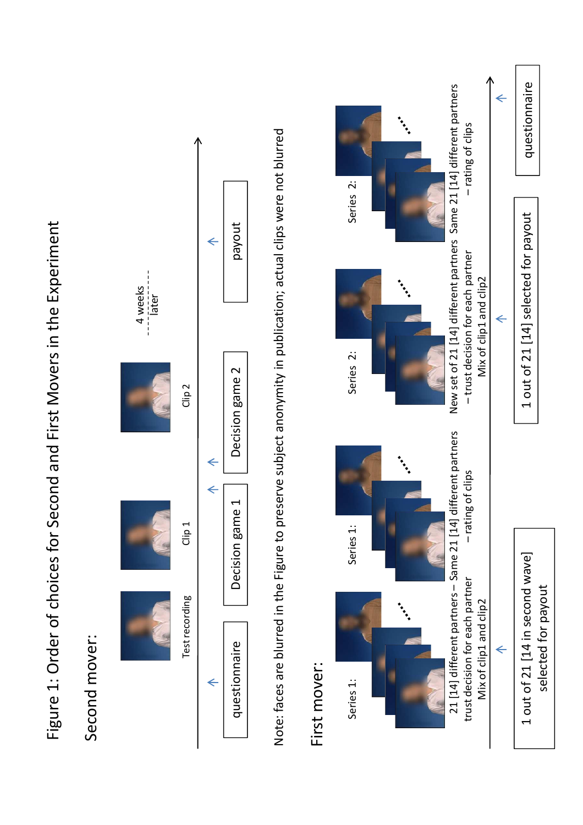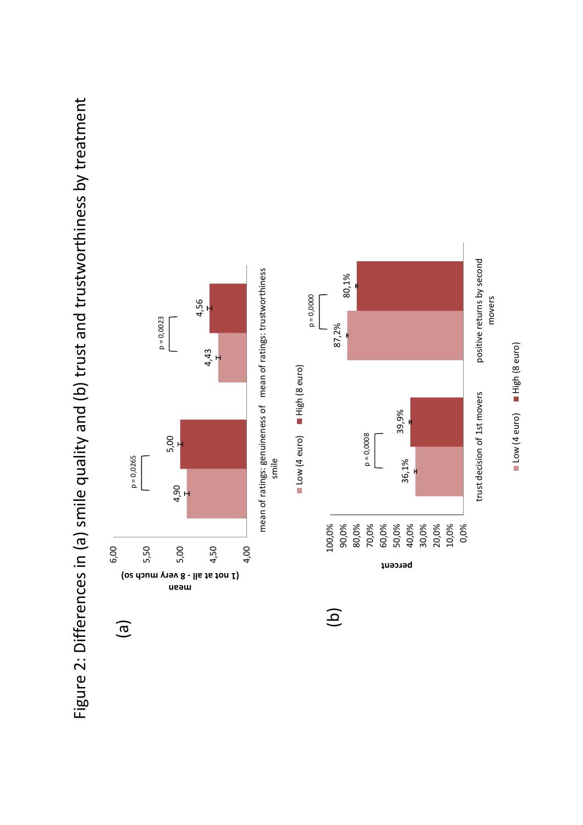Figure 2: Differences in (a) smile quality and (b) trust and trustworthiness by treatment Figure 2: Differences in (a) smile quality and (b) trust and trustworthiness by treatment



Low (4 euro) High (8 euro) Consom (9 euro) Andrique (1)

trust decision of 1st movers positive returns by second

trust decision of 1st movers

movers

positive returns by second